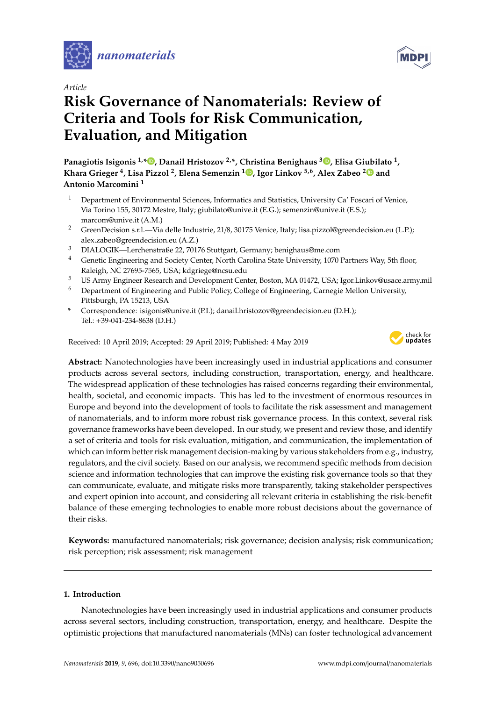

*Article*

# **Risk Governance of Nanomaterials: Review of Criteria and Tools for Risk Communication, Evaluation, and Mitigation**

**Panagiotis Isigonis 1,\* [,](https://orcid.org/0000-0002-8404-7708) Danail Hristozov 2,\*, Christina Benighaus <sup>3</sup> [,](https://orcid.org/0000-0002-5537-5593) Elisa Giubilato <sup>1</sup> , Khara Grieger <sup>4</sup> , Lisa Pizzol <sup>2</sup> , Elena Semenzin <sup>1</sup> [,](https://orcid.org/0000-0001-8032-8687) Igor Linkov 5,6, Alex Zabeo [2](https://orcid.org/0000-0001-7162-5364) and Antonio Marcomini <sup>1</sup>**

- <sup>1</sup> Department of Environmental Sciences, Informatics and Statistics, University Ca' Foscari of Venice, Via Torino 155, 30172 Mestre, Italy; giubilato@unive.it (E.G.); semenzin@unive.it (E.S.); marcom@unive.it (A.M.)
- <sup>2</sup> GreenDecision s.r.l.—Via delle Industrie, 21/8, 30175 Venice, Italy; lisa.pizzol@greendecision.eu (L.P.); alex.zabeo@greendecision.eu (A.Z.)
- <sup>3</sup> DIALOGIK—Lerchenstraße 22, 70176 Stuttgart, Germany; benighaus@me.com
- <sup>4</sup> Genetic Engineering and Society Center, North Carolina State University, 1070 Partners Way, 5th floor, Raleigh, NC 27695-7565, USA; kdgriege@ncsu.edu
- <sup>5</sup> US Army Engineer Research and Development Center, Boston, MA 01472, USA; Igor.Linkov@usace.army.mil
- <sup>6</sup> Department of Engineering and Public Policy, College of Engineering, Carnegie Mellon University, Pittsburgh, PA 15213, USA
- **\*** Correspondence: isigonis@unive.it (P.I.); danail.hristozov@greendecision.eu (D.H.); Tel.: +39-041-234-8638 (D.H.)

Received: 10 April 2019; Accepted: 29 April 2019; Published: 4 May 2019



**Abstract:** Nanotechnologies have been increasingly used in industrial applications and consumer products across several sectors, including construction, transportation, energy, and healthcare. The widespread application of these technologies has raised concerns regarding their environmental, health, societal, and economic impacts. This has led to the investment of enormous resources in Europe and beyond into the development of tools to facilitate the risk assessment and management of nanomaterials, and to inform more robust risk governance process. In this context, several risk governance frameworks have been developed. In our study, we present and review those, and identify a set of criteria and tools for risk evaluation, mitigation, and communication, the implementation of which can inform better risk management decision-making by various stakeholders from e.g., industry, regulators, and the civil society. Based on our analysis, we recommend specific methods from decision science and information technologies that can improve the existing risk governance tools so that they can communicate, evaluate, and mitigate risks more transparently, taking stakeholder perspectives and expert opinion into account, and considering all relevant criteria in establishing the risk-benefit balance of these emerging technologies to enable more robust decisions about the governance of their risks.

**Keywords:** manufactured nanomaterials; risk governance; decision analysis; risk communication; risk perception; risk assessment; risk management

# **1. Introduction**

Nanotechnologies have been increasingly used in industrial applications and consumer products across several sectors, including construction, transportation, energy, and healthcare. Despite the optimistic projections that manufactured nanomaterials (MNs) can foster technological advancement

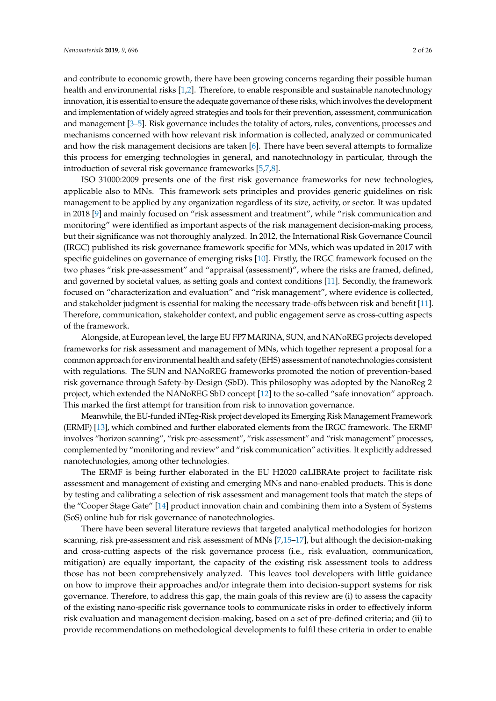and contribute to economic growth, there have been growing concerns regarding their possible human health and environmental risks [\[1,](#page-21-0)[2\]](#page-21-1). Therefore, to enable responsible and sustainable nanotechnology innovation, it is essential to ensure the adequate governance of these risks, which involves the development and implementation of widely agreed strategies and tools for their prevention, assessment, communication and management [\[3](#page-21-2)[–5\]](#page-21-3). Risk governance includes the totality of actors, rules, conventions, processes and mechanisms concerned with how relevant risk information is collected, analyzed or communicated and how the risk management decisions are taken [\[6\]](#page-21-4). There have been several attempts to formalize this process for emerging technologies in general, and nanotechnology in particular, through the introduction of several risk governance frameworks [\[5,](#page-21-3)[7,](#page-21-5)[8\]](#page-21-6).

ISO 31000:2009 presents one of the first risk governance frameworks for new technologies, applicable also to MNs. This framework sets principles and provides generic guidelines on risk management to be applied by any organization regardless of its size, activity, or sector. It was updated in 2018 [\[9\]](#page-21-7) and mainly focused on "risk assessment and treatment", while "risk communication and monitoring" were identified as important aspects of the risk management decision-making process, but their significance was not thoroughly analyzed. In 2012, the International Risk Governance Council (IRGC) published its risk governance framework specific for MNs, which was updated in 2017 with specific guidelines on governance of emerging risks [\[10\]](#page-21-8). Firstly, the IRGC framework focused on the two phases "risk pre-assessment" and "appraisal (assessment)", where the risks are framed, defined, and governed by societal values, as setting goals and context conditions [\[11\]](#page-21-9). Secondly, the framework focused on "characterization and evaluation" and "risk management", where evidence is collected, and stakeholder judgment is essential for making the necessary trade-offs between risk and benefit [\[11\]](#page-21-9). Therefore, communication, stakeholder context, and public engagement serve as cross-cutting aspects of the framework.

Alongside, at European level, the large EU FP7 MARINA, SUN, and NANoREG projects developed frameworks for risk assessment and management of MNs, which together represent a proposal for a common approach for environmental health and safety (EHS) assessment of nanotechnologies consistent with regulations. The SUN and NANoREG frameworks promoted the notion of prevention-based risk governance through Safety-by-Design (SbD). This philosophy was adopted by the NanoReg 2 project, which extended the NANoREG SbD concept [\[12\]](#page-21-10) to the so-called "safe innovation" approach. This marked the first attempt for transition from risk to innovation governance.

Meanwhile, the EU-funded iNTeg-Risk project developed its Emerging Risk Management Framework (ERMF) [\[13\]](#page-21-11), which combined and further elaborated elements from the IRGC framework. The ERMF involves "horizon scanning", "risk pre-assessment", "risk assessment" and "risk management" processes, complemented by "monitoring and review" and "risk communication" activities. It explicitly addressed nanotechnologies, among other technologies.

The ERMF is being further elaborated in the EU H2020 caLIBRAte project to facilitate risk assessment and management of existing and emerging MNs and nano-enabled products. This is done by testing and calibrating a selection of risk assessment and management tools that match the steps of the "Cooper Stage Gate" [\[14\]](#page-21-12) product innovation chain and combining them into a System of Systems (SoS) online hub for risk governance of nanotechnologies.

There have been several literature reviews that targeted analytical methodologies for horizon scanning, risk pre-assessment and risk assessment of MNs [\[7,](#page-21-5)[15–](#page-21-13)[17\]](#page-21-14), but although the decision-making and cross-cutting aspects of the risk governance process (i.e., risk evaluation, communication, mitigation) are equally important, the capacity of the existing risk assessment tools to address those has not been comprehensively analyzed. This leaves tool developers with little guidance on how to improve their approaches and/or integrate them into decision-support systems for risk governance. Therefore, to address this gap, the main goals of this review are (i) to assess the capacity of the existing nano-specific risk governance tools to communicate risks in order to effectively inform risk evaluation and management decision-making, based on a set of pre-defined criteria; and (ii) to provide recommendations on methodological developments to fulfil these criteria in order to enable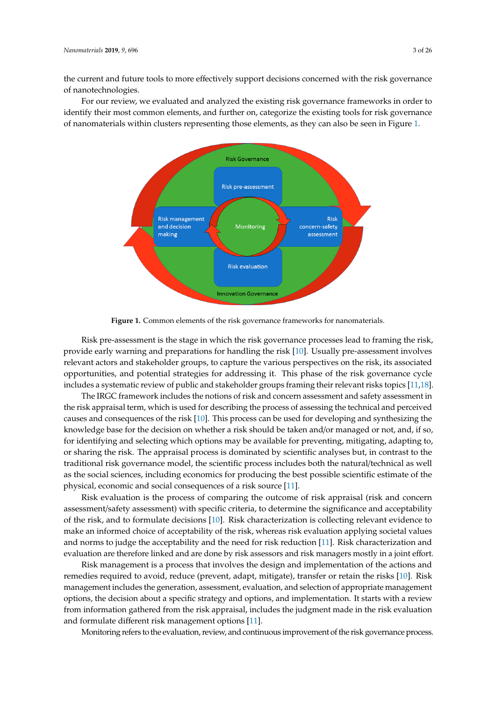the current and future tools to more effectively support decisions concerned with the risk governance the current and future tools to more effectively support decisions concerned with the risk governance of nanotechnologies. of nanotechnologies.

<span id="page-2-0"></span>For our review, we evaluated and analyzed the existing risk governance frameworks in order to For our review, we evaluated and analyzed the existing risk governance frameworks in order to identify their most common elements, and further on, categorize the existing tools for risk governance of nanomaterials within clusters representing those elements, as they can also be seen in Figure [1.](#page-2-0)



**Figure 1.** Common elements of the risk governance frameworks for nanomaterials.

Risk pre-assessment is the stage in which the risk governance processes lead to framing the risk*,* relevant actors and stakeholder groups, to capture the various perspectives on the risk, its associated opportunities, and potential strategies for addressing it. This phase of the risk governance cycle includes a systematic review of public and stakeholder groups framing their relevant risks topics [11,18]. provide early warning and preparations for handling the risk [\[10\]](#page-21-8). Usually pre-assessment involves

The IRGC framework includes the notions of risk and concern assessment and safety assessment in the risk appraisal term, which is used for describing the process of assessing the technical and perceived causes and consequences of the risk [\[10\]](#page-21-8). This process can be used for developing and synthesizing the knowledge base for the decision on whether a risk should be taken and/or managed or not, and, if so, for identifying and selecting which options may be available for preventing, mitigating, adapting to, or sharing the risk. The appraisal process is dominated by scientific analyses but, in contrast to the traditional risk governance model, the scientific process includes both the natural/technical as well as the social sciences, including economics for producing the best possible scientific estimate of the physical, economic and social consequences of a risk source [11].

Risk evaluation is the process of comparing the outcome of risk appraisal (risk and concern assessment/safety assessment) with specific criteria, to determine the significance and acceptability of the risk, and to formulate decisions [10]. Risk characterization is collecting relevant evidence to make an informed choice of acceptability of the risk, whereas risk evaluation applying societal values and norms to judge the acceptability and the need for risk reduction [11]. Risk characterization and evaluation are therefore linked and are done by risk assessors and risk managers mostly in a joint effort.

Risk management is a process that involves the design and implementation of the actions and remedies required to avoid, reduce (prevent, adapt, mitigate), transfer or retain the risks [10]. Risk management includes the generation, assessment, evaluation, and selection of appropriate management options, the decision about a specific strategy and options, and implementation. It starts with a review from information gathered from the risk appraisal, includes the judgment made in the risk evaluation and formulate different risk management options [11].

Monitoring refers to the evaluation, review, and continuous improvement of the risk governance process.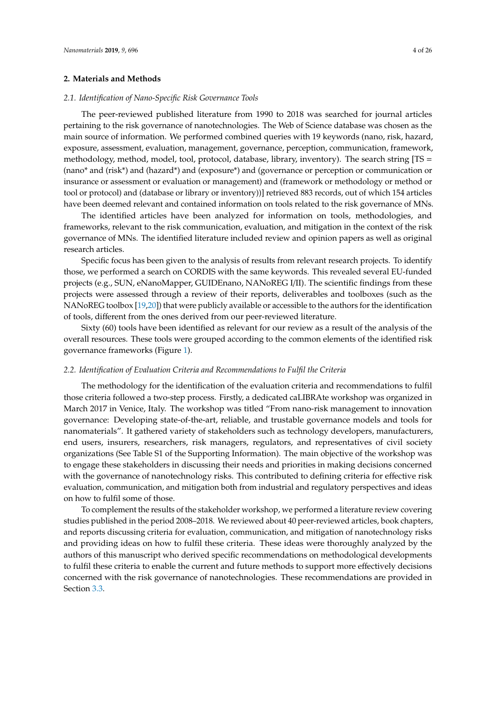#### **2. Materials and Methods**

#### *2.1. Identification of Nano-Specific Risk Governance Tools*

The peer-reviewed published literature from 1990 to 2018 was searched for journal articles pertaining to the risk governance of nanotechnologies. The Web of Science database was chosen as the main source of information. We performed combined queries with 19 keywords (nano, risk, hazard, exposure, assessment, evaluation, management, governance, perception, communication, framework, methodology, method, model, tool, protocol, database, library, inventory). The search string [TS = (nano\* and (risk\*) and (hazard\*) and (exposure\*) and (governance or perception or communication or insurance or assessment or evaluation or management) and (framework or methodology or method or tool or protocol) and (database or library or inventory))] retrieved 883 records, out of which 154 articles have been deemed relevant and contained information on tools related to the risk governance of MNs.

The identified articles have been analyzed for information on tools, methodologies, and frameworks, relevant to the risk communication, evaluation, and mitigation in the context of the risk governance of MNs. The identified literature included review and opinion papers as well as original research articles.

Specific focus has been given to the analysis of results from relevant research projects. To identify those, we performed a search on CORDIS with the same keywords. This revealed several EU-funded projects (e.g., SUN, eNanoMapper, GUIDEnano, NANoREG I/II). The scientific findings from these projects were assessed through a review of their reports, deliverables and toolboxes (such as the NANoREG toolbox [\[19,](#page-21-16)[20\]](#page-21-17)) that were publicly available or accessible to the authors for the identification of tools, different from the ones derived from our peer-reviewed literature.

Sixty (60) tools have been identified as relevant for our review as a result of the analysis of the overall resources. These tools were grouped according to the common elements of the identified risk governance frameworks (Figure [1\)](#page-2-0).

#### <span id="page-3-0"></span>*2.2. Identification of Evaluation Criteria and Recommendations to Fulfil the Criteria*

The methodology for the identification of the evaluation criteria and recommendations to fulfil those criteria followed a two-step process. Firstly, a dedicated caLIBRAte workshop was organized in March 2017 in Venice, Italy. The workshop was titled "From nano-risk management to innovation governance: Developing state-of-the-art, reliable, and trustable governance models and tools for nanomaterials". It gathered variety of stakeholders such as technology developers, manufacturers, end users, insurers, researchers, risk managers, regulators, and representatives of civil society organizations (See Table S1 of the Supporting Information). The main objective of the workshop was to engage these stakeholders in discussing their needs and priorities in making decisions concerned with the governance of nanotechnology risks. This contributed to defining criteria for effective risk evaluation, communication, and mitigation both from industrial and regulatory perspectives and ideas on how to fulfil some of those.

To complement the results of the stakeholder workshop, we performed a literature review covering studies published in the period 2008–2018. We reviewed about 40 peer-reviewed articles, book chapters, and reports discussing criteria for evaluation, communication, and mitigation of nanotechnology risks and providing ideas on how to fulfil these criteria. These ideas were thoroughly analyzed by the authors of this manuscript who derived specific recommendations on methodological developments to fulfil these criteria to enable the current and future methods to support more effectively decisions concerned with the risk governance of nanotechnologies. These recommendations are provided in Section [3.3.](#page-14-0)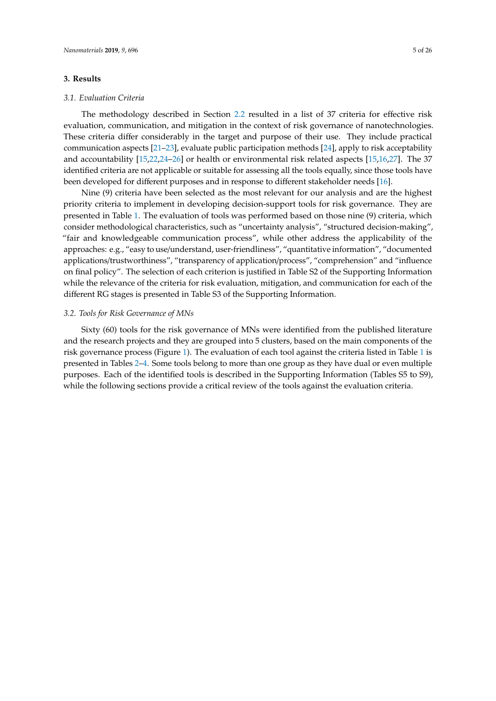#### **3. Results**

#### *3.1. Evaluation Criteria*

The methodology described in Section [2.2](#page-3-0) resulted in a list of 37 criteria for effective risk evaluation, communication, and mitigation in the context of risk governance of nanotechnologies. These criteria differ considerably in the target and purpose of their use. They include practical communication aspects [\[21](#page-21-18)[–23\]](#page-21-19), evaluate public participation methods [\[24\]](#page-22-0), apply to risk acceptability and accountability [\[15](#page-21-13)[,22](#page-21-20)[,24–](#page-22-0)[26\]](#page-22-1) or health or environmental risk related aspects [\[15](#page-21-13)[,16](#page-21-21)[,27\]](#page-22-2). The 37 identified criteria are not applicable or suitable for assessing all the tools equally, since those tools have been developed for different purposes and in response to different stakeholder needs [\[16\]](#page-21-21).

Nine (9) criteria have been selected as the most relevant for our analysis and are the highest priority criteria to implement in developing decision-support tools for risk governance. They are presented in Table [1.](#page-5-0) The evaluation of tools was performed based on those nine (9) criteria, which consider methodological characteristics, such as "uncertainty analysis", "structured decision-making", "fair and knowledgeable communication process", while other address the applicability of the approaches: e.g., "easy to use/understand, user-friendliness", "quantitative information", "documented applications/trustworthiness", "transparency of application/process", "comprehension" and "influence on final policy". The selection of each criterion is justified in Table S2 of the Supporting Information while the relevance of the criteria for risk evaluation, mitigation, and communication for each of the different RG stages is presented in Table S3 of the Supporting Information.

#### *3.2. Tools for Risk Governance of MNs*

Sixty (60) tools for the risk governance of MNs were identified from the published literature and the research projects and they are grouped into 5 clusters, based on the main components of the risk governance process (Figure [1\)](#page-2-0). The evaluation of each tool against the criteria listed in Table [1](#page-5-0) is presented in Tables [2–](#page-8-0)[4.](#page-15-0) Some tools belong to more than one group as they have dual or even multiple purposes. Each of the identified tools is described in the Supporting Information (Tables S5 to S9), while the following sections provide a critical review of the tools against the evaluation criteria.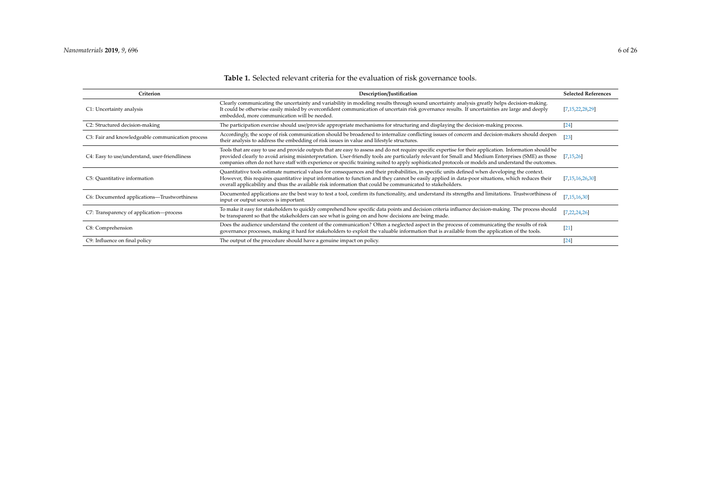<span id="page-5-0"></span>

| Criterion                                        | Description/Justification                                                                                                                                                                                                                                                                                                                                                                                                                                                | <b>Selected References</b> |
|--------------------------------------------------|--------------------------------------------------------------------------------------------------------------------------------------------------------------------------------------------------------------------------------------------------------------------------------------------------------------------------------------------------------------------------------------------------------------------------------------------------------------------------|----------------------------|
| C1: Uncertainty analysis                         | Clearly communicating the uncertainty and variability in modeling results through sound uncertainty analysis greatly helps decision-making.<br>It could be otherwise easily misled by overconfident communication of uncertain risk governance results. If uncertainties are large and deeply<br>embedded, more communication will be needed.                                                                                                                            | [7, 15, 22, 28, 29]        |
| C2: Structured decision-making                   | The participation exercise should use/provide appropriate mechanisms for structuring and displaying the decision-making process.                                                                                                                                                                                                                                                                                                                                         | [24]                       |
| C3: Fair and knowledgeable communication process | Accordingly, the scope of risk communication should be broadened to internalize conflicting issues of concern and decision-makers should deepen<br>their analysis to address the embedding of risk issues in value and lifestyle structures.                                                                                                                                                                                                                             | $[23]$                     |
| C4: Easy to use/understand, user-friendliness    | Tools that are easy to use and provide outputs that are easy to assess and do not require specific expertise for their application. Information should be<br>provided clearly to avoid arising misinterpretation. User-friendly tools are particularly relevant for Small and Medium Enterprises (SME) as those<br>companies often do not have staff with experience or specific training suited to apply sophisticated protocols or models and understand the outcomes. | 7, 15, 26                  |
| C5: Quantitative information                     | Quantitative tools estimate numerical values for consequences and their probabilities, in specific units defined when developing the context.<br>However, this requires quantitative input information to function and they cannot be easily applied in data-poor situations, which reduces their<br>overall applicability and thus the available risk information that could be communicated to stakeholders.                                                           | [7, 15, 16, 26, 30]        |
| C6: Documented applications-Trustworthiness      | Documented applications are the best way to test a tool, confirm its functionality, and understand its strengths and limitations. Trustworthiness of<br>input or output sources is important.                                                                                                                                                                                                                                                                            | [7, 15, 16, 30]            |
| C7: Transparency of application---process        | To make it easy for stakeholders to quickly comprehend how specific data points and decision criteria influence decision-making. The process should<br>be transparent so that the stakeholders can see what is going on and how decisions are being made.                                                                                                                                                                                                                | [7, 22, 24, 26]            |
| C8: Comprehension                                | Does the audience understand the content of the communication? Often a neglected aspect in the process of communicating the results of risk<br>governance processes, making it hard for stakeholders to exploit the valuable information that is available from the application of the tools.                                                                                                                                                                            | [21]                       |
| C9: Influence on final policy                    | The output of the procedure should have a genuine impact on policy.                                                                                                                                                                                                                                                                                                                                                                                                      | [24]                       |

# **Table 1.** Selected relevant criteria for the evaluation of risk governance tools.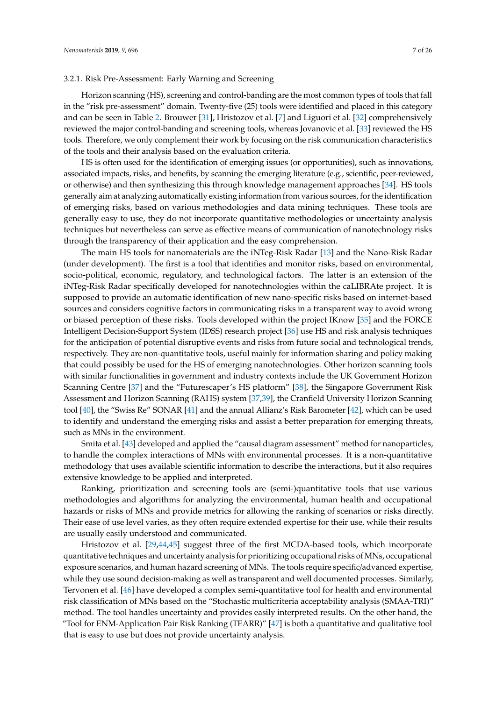#### 3.2.1. Risk Pre-Assessment: Early Warning and Screening

Horizon scanning (HS), screening and control-banding are the most common types of tools that fall in the "risk pre-assessment" domain. Twenty-five (25) tools were identified and placed in this category and can be seen in Table [2.](#page-8-0) Brouwer [\[31\]](#page-22-8), Hristozov et al. [\[7\]](#page-21-5) and Liguori et al. [\[32\]](#page-22-9) comprehensively reviewed the major control-banding and screening tools, whereas Jovanovic et al. [\[33\]](#page-22-10) reviewed the HS tools. Therefore, we only complement their work by focusing on the risk communication characteristics of the tools and their analysis based on the evaluation criteria.

HS is often used for the identification of emerging issues (or opportunities), such as innovations, associated impacts, risks, and benefits, by scanning the emerging literature (e.g., scientific, peer-reviewed, or otherwise) and then synthesizing this through knowledge management approaches [\[34\]](#page-22-11). HS tools generally aim at analyzing automatically existing information from various sources, for the identification of emerging risks, based on various methodologies and data mining techniques. These tools are generally easy to use, they do not incorporate quantitative methodologies or uncertainty analysis techniques but nevertheless can serve as effective means of communication of nanotechnology risks through the transparency of their application and the easy comprehension.

The main HS tools for nanomaterials are the iNTeg-Risk Radar [\[13\]](#page-21-11) and the Nano-Risk Radar (under development). The first is a tool that identifies and monitor risks, based on environmental, socio-political, economic, regulatory, and technological factors. The latter is an extension of the iNTeg-Risk Radar specifically developed for nanotechnologies within the caLIBRAte project. It is supposed to provide an automatic identification of new nano-specific risks based on internet-based sources and considers cognitive factors in communicating risks in a transparent way to avoid wrong or biased perception of these risks. Tools developed within the project IKnow [\[35\]](#page-22-12) and the FORCE Intelligent Decision-Support System (IDSS) research project [\[36\]](#page-22-13) use HS and risk analysis techniques for the anticipation of potential disruptive events and risks from future social and technological trends, respectively. They are non-quantitative tools, useful mainly for information sharing and policy making that could possibly be used for the HS of emerging nanotechnologies. Other horizon scanning tools with similar functionalities in government and industry contexts include the UK Government Horizon Scanning Centre [\[37\]](#page-22-14) and the "Futurescaper's HS platform" [\[38\]](#page-22-15), the Singapore Government Risk Assessment and Horizon Scanning (RAHS) system [\[37,](#page-22-14)[39\]](#page-22-16), the Cranfield University Horizon Scanning tool [\[40\]](#page-22-17), the "Swiss Re" SONAR [\[41\]](#page-22-18) and the annual Allianz's Risk Barometer [\[42\]](#page-22-19), which can be used to identify and understand the emerging risks and assist a better preparation for emerging threats, such as MNs in the environment.

Smita et al. [\[43\]](#page-22-20) developed and applied the "causal diagram assessment" method for nanoparticles, to handle the complex interactions of MNs with environmental processes. It is a non-quantitative methodology that uses available scientific information to describe the interactions, but it also requires extensive knowledge to be applied and interpreted.

Ranking, prioritization and screening tools are (semi-)quantitative tools that use various methodologies and algorithms for analyzing the environmental, human health and occupational hazards or risks of MNs and provide metrics for allowing the ranking of scenarios or risks directly. Their ease of use level varies, as they often require extended expertise for their use, while their results are usually easily understood and communicated.

Hristozov et al. [\[29,](#page-22-21)[44,](#page-22-22)[45\]](#page-22-23) suggest three of the first MCDA-based tools, which incorporate quantitative techniques and uncertainty analysis for prioritizing occupational risks ofMNs, occupational exposure scenarios, and human hazard screening of MNs. The tools require specific/advanced expertise, while they use sound decision-making as well as transparent and well documented processes. Similarly, Tervonen et al. [\[46\]](#page-22-24) have developed a complex semi-quantitative tool for health and environmental risk classification of MNs based on the "Stochastic multicriteria acceptability analysis (SMAA-TRI)" method. The tool handles uncertainty and provides easily interpreted results. On the other hand, the "Tool for ENM-Application Pair Risk Ranking (TEARR)" [\[47\]](#page-23-0) is both a quantitative and qualitative tool that is easy to use but does not provide uncertainty analysis.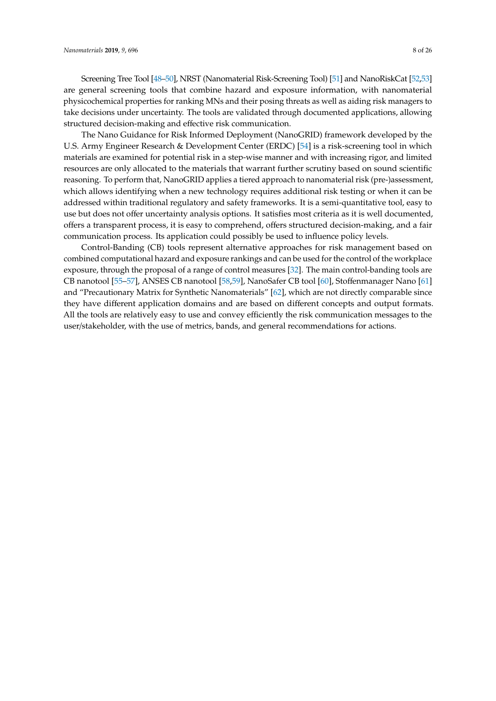Screening Tree Tool [\[48–](#page-23-1)[50\]](#page-23-2), NRST (Nanomaterial Risk-Screening Tool) [\[51\]](#page-23-3) and NanoRiskCat [\[52,](#page-23-4)[53\]](#page-23-5) are general screening tools that combine hazard and exposure information, with nanomaterial physicochemical properties for ranking MNs and their posing threats as well as aiding risk managers to

structured decision-making and effective risk communication. The Nano Guidance for Risk Informed Deployment (NanoGRID) framework developed by the U.S. Army Engineer Research & Development Center (ERDC) [\[54\]](#page-23-6) is a risk-screening tool in which materials are examined for potential risk in a step-wise manner and with increasing rigor, and limited resources are only allocated to the materials that warrant further scrutiny based on sound scientific reasoning. To perform that, NanoGRID applies a tiered approach to nanomaterial risk (pre-)assessment, which allows identifying when a new technology requires additional risk testing or when it can be addressed within traditional regulatory and safety frameworks. It is a semi-quantitative tool, easy to use but does not offer uncertainty analysis options. It satisfies most criteria as it is well documented, offers a transparent process, it is easy to comprehend, offers structured decision-making, and a fair communication process. Its application could possibly be used to influence policy levels.

take decisions under uncertainty. The tools are validated through documented applications, allowing

Control-Banding (CB) tools represent alternative approaches for risk management based on combined computational hazard and exposure rankings and can be used for the control of the workplace exposure, through the proposal of a range of control measures [\[32\]](#page-22-9). The main control-banding tools are CB nanotool [\[55](#page-23-7)[–57\]](#page-23-8), ANSES CB nanotool [\[58,](#page-23-9)[59\]](#page-23-10), NanoSafer CB tool [\[60\]](#page-23-11), Stoffenmanager Nano [\[61\]](#page-23-12) and "Precautionary Matrix for Synthetic Nanomaterials" [\[62\]](#page-23-13), which are not directly comparable since they have different application domains and are based on different concepts and output formats. All the tools are relatively easy to use and convey efficiently the risk communication messages to the user/stakeholder, with the use of metrics, bands, and general recommendations for actions.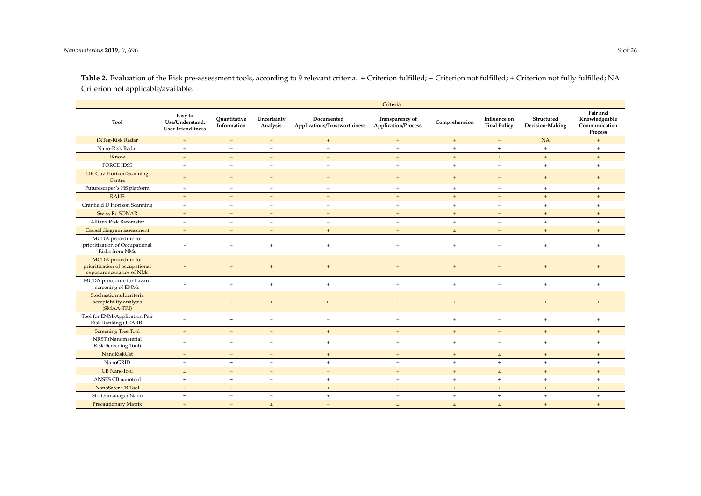Table 2. Evaluation of the Risk pre-assessment tools, according to 9 relevant criteria. + Criterion fulfilled; − Criterion not fulfilled; ± Criterion not fully fulfilled; NA Criterion not applicable/available.

<span id="page-8-0"></span>

|                                                                                   |                                                        |                             |                          |                                            | Criteria                                      |                   |                                     |                                  |                                                       |
|-----------------------------------------------------------------------------------|--------------------------------------------------------|-----------------------------|--------------------------|--------------------------------------------|-----------------------------------------------|-------------------|-------------------------------------|----------------------------------|-------------------------------------------------------|
| Tool                                                                              | Easy to<br>Use/Understand,<br><b>User-Friendliness</b> | Quantitative<br>Information | Uncertainty<br>Analysis  | Documented<br>Applications/Trustworthiness | Transparency of<br><b>Application/Process</b> | Comprehension     | Influence on<br><b>Final Policy</b> | Structured<br>Decision-Making    | Fair and<br>Knowledgeable<br>Communication<br>Process |
| iNTeg-Risk Radar                                                                  | $+$                                                    | $\equiv$                    | $\overline{\phantom{m}}$ | $\pm$                                      | $+$                                           | $+$               | $\overline{\phantom{a}}$            | <b>NA</b>                        | $\boldsymbol{+}$                                      |
| Nano-Risk Radar                                                                   | $+$                                                    | $\overline{\phantom{m}}$    | $\overline{\phantom{m}}$ | $\qquad \qquad =$                          | $+$                                           | $\pm$             | $\pm$                               | $+$                              | $\pm$                                                 |
| <b>IKnow</b>                                                                      | $+$                                                    | $\equiv$                    | $\overline{\phantom{m}}$ | $\overline{\phantom{m}}$                   | $+$                                           | $+$               | $\pm$                               | $+$                              | $+$                                                   |
| <b>FORCE IDSS</b>                                                                 | $+$                                                    | $\equiv$                    | $\overline{\phantom{m}}$ | $\overline{\phantom{0}}$                   | $+$                                           | $\pm$             | $\overline{\phantom{m}}$            | $+$                              | $+$                                                   |
| <b>UK Gov Horizon Scanning</b><br>Centre                                          | $+$                                                    |                             | $\overline{\phantom{a}}$ | $\overline{\phantom{0}}$                   | $+$                                           | $+$               | $\sim$                              | $+$                              | $+$                                                   |
| Futurescaper's HS platform                                                        | $+$                                                    | $\overline{\phantom{m}}$    | $\equiv$                 | $\equiv$                                   | $+$                                           | $\pm$             | $\sim$                              | $+$                              | $+$                                                   |
| <b>RAHS</b>                                                                       | $+$                                                    | $\equiv$                    | $\overline{\phantom{a}}$ | $\overline{\phantom{0}}$                   | $+$                                           | $\qquad \qquad +$ | $\sim$                              | $+$                              | $+$                                                   |
| Cranfield U Horizon Scanning                                                      | $+$                                                    | $\overline{\phantom{m}}$    | $\overline{\phantom{m}}$ | $\overline{\phantom{m}}$                   | $+$                                           | $+$               | $\overline{\phantom{a}}$            | $+$                              | $+$                                                   |
| <b>Swiss Re SONAR</b>                                                             | $+$                                                    | $\overline{\phantom{0}}$    | $\overline{\phantom{a}}$ | $\qquad \qquad -$                          | $+$                                           | $+$               | $\overline{\phantom{a}}$            | $\begin{array}{c} + \end{array}$ | $+$                                                   |
| Allianz Risk Barometer                                                            | $+$                                                    | $\overline{\phantom{a}}$    | $\overline{\phantom{a}}$ | $\overline{\phantom{a}}$                   | $+$                                           | $\pm$             | $\sim$                              | $\pm$                            | $+$                                                   |
| Causal diagram assessment                                                         | $+$                                                    | $\qquad \qquad -$           | $\overline{\phantom{m}}$ | $\, +$                                     | $+$                                           | $\pm$             | $\hspace{0.1in} - \hspace{0.1in}$   | $+$                              | $+$                                                   |
| MCDA procedure for<br>prioritization of Occupational<br>Risks from NMs            | $\overline{\phantom{a}}$                               | $\ddot{}$                   | $\overline{+}$           | $+$                                        | $+$                                           | $+$               | $\overline{\phantom{a}}$            | $+$                              | $+$                                                   |
| MCDA procedure for<br>prioritization of occupational<br>exposure scenarios of NMs |                                                        | $+$                         | $+$                      | $+$                                        | $+$                                           | $+$               | $\sim$                              | $+$                              | $+$                                                   |
| MCDA procedure for hazard<br>screening of ENMs                                    | $\sim$                                                 | $+$                         | $+$                      | $+$                                        | $+$                                           | $+$               | $\overline{\phantom{a}}$            | $+$                              | $+$                                                   |
| Stochastic multicriteria<br>acceptability analysis<br>(SMAA-TRI)                  |                                                        | $+$                         | $\overline{+}$           | $+ -$                                      | $+$                                           | $+$               |                                     | $+$                              | $+$                                                   |
| Tool for ENM-Application Pair<br><b>Risk Ranking (TEARR)</b>                      | $+$                                                    | $\pm$                       | $\overline{\phantom{a}}$ | $\overline{\phantom{0}}$                   | $+$                                           | $+$               | $\overline{\phantom{a}}$            | $+$                              | $+$                                                   |
| <b>Screening Tree Tool</b>                                                        | $+$                                                    | $\qquad \qquad -$           | $\overline{\phantom{a}}$ | $+$                                        | $+$                                           | $\, +$            | $\overline{\phantom{a}}$            | $+$                              | $+$                                                   |
| NRST (Nanomaterial<br>Risk-Screening Tool)                                        | $+$                                                    | $\ddot{}$                   | $\overline{\phantom{a}}$ | $+$                                        | $+$                                           | $+$               | $\sim$                              | $+$                              | $+$                                                   |
| NanoRiskCat                                                                       | $+$                                                    | $\equiv$                    | $\equiv$                 | $+$                                        | $+$                                           | $+$               | $\pm$                               | $+$                              | $+$                                                   |
| NanoGRID                                                                          | $+$                                                    | $\pm$                       | $\overline{\phantom{m}}$ | $+$                                        | $+$                                           | $\pm$             | $\pm$                               | $+$                              | $\pm$                                                 |
| <b>CB</b> NanoTool                                                                | $\pm$                                                  | $\qquad \qquad -$           | $\qquad \qquad -$        | $\qquad \qquad -$                          | $+$                                           | $+$               | $\pm$                               | $+$                              | $+$                                                   |
| ANSES CB nanotool                                                                 | $\pm$                                                  | $\pm$                       | $\overline{\phantom{a}}$ | $\pm$                                      | $+$                                           | $\pm$             | $\pm$                               | $+$                              | $\pm$                                                 |
| NanoSafer CB Tool                                                                 | $+$                                                    | $+$                         | $\overline{\phantom{m}}$ | $\, +$                                     | $+$                                           | $+$               | $\pm$                               | $+$                              | $+$                                                   |
| Stoffenmanager Nano                                                               | $\pm$                                                  | $\overline{\phantom{m}}$    | $\overline{\phantom{a}}$ | $+$                                        | $+$                                           | $+$               | $\pm$                               | $+$                              | $+$                                                   |
| <b>Precautionary Matrix</b>                                                       | $+$                                                    |                             | $\pm$                    |                                            | $\pm$                                         | $\pm$             | $\pm$                               | $+$                              | $+$                                                   |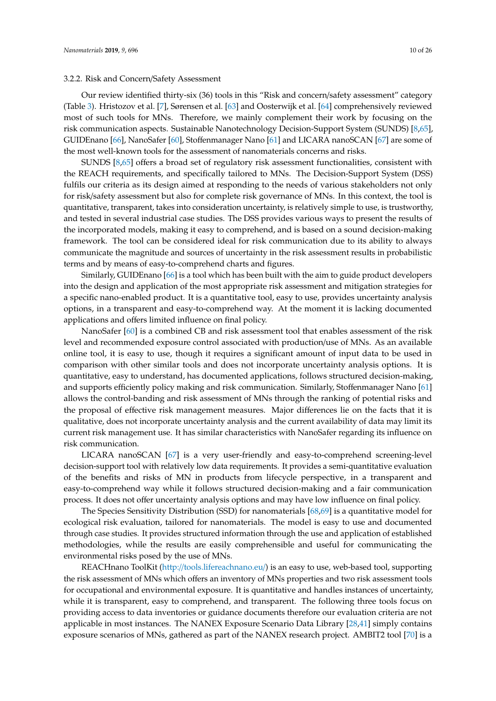#### <span id="page-9-0"></span>3.2.2. Risk and Concern/Safety Assessment

Our review identified thirty-six (36) tools in this "Risk and concern/safety assessment" category (Table [3\)](#page-12-0). Hristozov et al. [\[7\]](#page-21-5), Sørensen et al. [\[63\]](#page-23-14) and Oosterwijk et al. [\[64\]](#page-23-15) comprehensively reviewed most of such tools for MNs. Therefore, we mainly complement their work by focusing on the risk communication aspects. Sustainable Nanotechnology Decision-Support System (SUNDS) [\[8,](#page-21-6)[65\]](#page-23-16), GUIDEnano [\[66\]](#page-23-17), NanoSafer [\[60\]](#page-23-11), Stoffenmanager Nano [\[61\]](#page-23-12) and LICARA nanoSCAN [\[67\]](#page-24-0) are some of the most well-known tools for the assessment of nanomaterials concerns and risks.

SUNDS [\[8,](#page-21-6)[65\]](#page-23-16) offers a broad set of regulatory risk assessment functionalities, consistent with the REACH requirements, and specifically tailored to MNs. The Decision-Support System (DSS) fulfils our criteria as its design aimed at responding to the needs of various stakeholders not only for risk/safety assessment but also for complete risk governance of MNs. In this context, the tool is quantitative, transparent, takes into consideration uncertainty, is relatively simple to use, is trustworthy, and tested in several industrial case studies. The DSS provides various ways to present the results of the incorporated models, making it easy to comprehend, and is based on a sound decision-making framework. The tool can be considered ideal for risk communication due to its ability to always communicate the magnitude and sources of uncertainty in the risk assessment results in probabilistic terms and by means of easy-to-comprehend charts and figures.

Similarly, GUIDEnano [\[66\]](#page-23-17) is a tool which has been built with the aim to guide product developers into the design and application of the most appropriate risk assessment and mitigation strategies for a specific nano-enabled product. It is a quantitative tool, easy to use, provides uncertainty analysis options, in a transparent and easy-to-comprehend way. At the moment it is lacking documented applications and offers limited influence on final policy.

NanoSafer [\[60\]](#page-23-11) is a combined CB and risk assessment tool that enables assessment of the risk level and recommended exposure control associated with production/use of MNs. As an available online tool, it is easy to use, though it requires a significant amount of input data to be used in comparison with other similar tools and does not incorporate uncertainty analysis options. It is quantitative, easy to understand, has documented applications, follows structured decision-making, and supports efficiently policy making and risk communication. Similarly, Stoffenmanager Nano [\[61\]](#page-23-12) allows the control-banding and risk assessment of MNs through the ranking of potential risks and the proposal of effective risk management measures. Major differences lie on the facts that it is qualitative, does not incorporate uncertainty analysis and the current availability of data may limit its current risk management use. It has similar characteristics with NanoSafer regarding its influence on risk communication.

LICARA nanoSCAN [\[67\]](#page-24-0) is a very user-friendly and easy-to-comprehend screening-level decision-support tool with relatively low data requirements. It provides a semi-quantitative evaluation of the benefits and risks of MN in products from lifecycle perspective, in a transparent and easy-to-comprehend way while it follows structured decision-making and a fair communication process. It does not offer uncertainty analysis options and may have low influence on final policy.

The Species Sensitivity Distribution (SSD) for nanomaterials [\[68,](#page-24-1)[69\]](#page-24-2) is a quantitative model for ecological risk evaluation, tailored for nanomaterials. The model is easy to use and documented through case studies. It provides structured information through the use and application of established methodologies, while the results are easily comprehensible and useful for communicating the environmental risks posed by the use of MNs.

REACHnano ToolKit (http://[tools.lifereachnano.eu](http://tools.lifereachnano.eu/)/) is an easy to use, web-based tool, supporting the risk assessment of MNs which offers an inventory of MNs properties and two risk assessment tools for occupational and environmental exposure. It is quantitative and handles instances of uncertainty, while it is transparent, easy to comprehend, and transparent. The following three tools focus on providing access to data inventories or guidance documents therefore our evaluation criteria are not applicable in most instances. The NANEX Exposure Scenario Data Library [\[28,](#page-22-25)[41\]](#page-22-18) simply contains exposure scenarios of MNs, gathered as part of the NANEX research project. AMBIT2 tool [\[70\]](#page-24-3) is a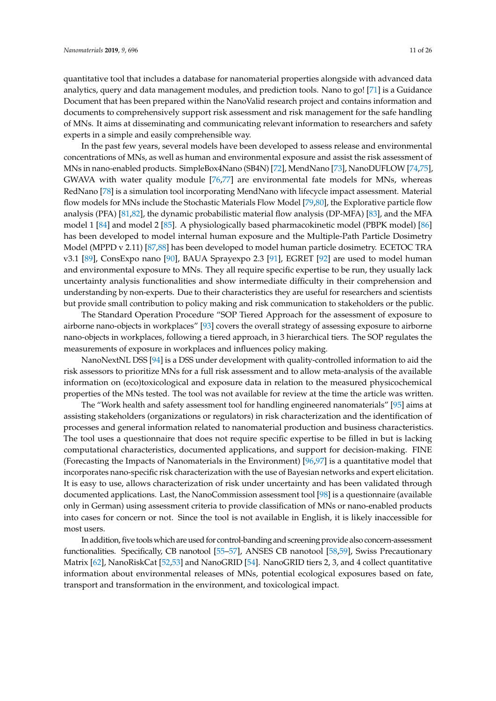quantitative tool that includes a database for nanomaterial properties alongside with advanced data analytics, query and data management modules, and prediction tools. Nano to go! [\[71\]](#page-24-4) is a Guidance Document that has been prepared within the NanoValid research project and contains information and documents to comprehensively support risk assessment and risk management for the safe handling of MNs. It aims at disseminating and communicating relevant information to researchers and safety experts in a simple and easily comprehensible way.

In the past few years, several models have been developed to assess release and environmental concentrations of MNs, as well as human and environmental exposure and assist the risk assessment of MNs in nano-enabled products. SimpleBox4Nano (SB4N) [\[72\]](#page-24-5), MendNano [\[73\]](#page-24-6), NanoDUFLOW [\[74,](#page-24-7)[75\]](#page-24-8), GWAVA with water quality module [\[76,](#page-24-9)[77\]](#page-24-10) are environmental fate models for MNs, whereas RedNano [\[78\]](#page-24-11) is a simulation tool incorporating MendNano with lifecycle impact assessment. Material flow models for MNs include the Stochastic Materials Flow Model [\[79,](#page-24-12)[80\]](#page-24-13), the Explorative particle flow analysis (PFA) [\[81](#page-24-14)[,82\]](#page-24-15), the dynamic probabilistic material flow analysis (DP-MFA) [\[83\]](#page-24-16), and the MFA model 1 [\[84\]](#page-24-17) and model 2 [\[85\]](#page-24-18). A physiologically based pharmacokinetic model (PBPK model) [\[86\]](#page-24-19) has been developed to model internal human exposure and the Multiple-Path Particle Dosimetry Model (MPPD v 2.11) [\[87,](#page-24-20)[88\]](#page-24-21) has been developed to model human particle dosimetry. ECETOC TRA v3.1 [\[89\]](#page-25-0), ConsExpo nano [\[90\]](#page-25-1), BAUA Sprayexpo 2.3 [\[91\]](#page-25-2), EGRET [\[92\]](#page-25-3) are used to model human and environmental exposure to MNs. They all require specific expertise to be run, they usually lack uncertainty analysis functionalities and show intermediate difficulty in their comprehension and understanding by non-experts. Due to their characteristics they are useful for researchers and scientists but provide small contribution to policy making and risk communication to stakeholders or the public.

The Standard Operation Procedure "SOP Tiered Approach for the assessment of exposure to airborne nano-objects in workplaces" [\[93\]](#page-25-4) covers the overall strategy of assessing exposure to airborne nano-objects in workplaces, following a tiered approach, in 3 hierarchical tiers. The SOP regulates the measurements of exposure in workplaces and influences policy making.

NanoNextNL DSS [\[94\]](#page-25-5) is a DSS under development with quality-controlled information to aid the risk assessors to prioritize MNs for a full risk assessment and to allow meta-analysis of the available information on (eco)toxicological and exposure data in relation to the measured physicochemical properties of the MNs tested. The tool was not available for review at the time the article was written.

The "Work health and safety assessment tool for handling engineered nanomaterials" [\[95\]](#page-25-6) aims at assisting stakeholders (organizations or regulators) in risk characterization and the identification of processes and general information related to nanomaterial production and business characteristics. The tool uses a questionnaire that does not require specific expertise to be filled in but is lacking computational characteristics, documented applications, and support for decision-making. FINE (Forecasting the Impacts of Nanomaterials in the Environment) [\[96,](#page-25-7)[97\]](#page-25-8) is a quantitative model that incorporates nano-specific risk characterization with the use of Bayesian networks and expert elicitation. It is easy to use, allows characterization of risk under uncertainty and has been validated through documented applications. Last, the NanoCommission assessment tool [\[98\]](#page-25-9) is a questionnaire (available only in German) using assessment criteria to provide classification of MNs or nano-enabled products into cases for concern or not. Since the tool is not available in English, it is likely inaccessible for most users.

In addition, five tools which are used for control-banding and screening provide also concern-assessment functionalities. Specifically, CB nanotool [\[55–](#page-23-7)[57\]](#page-23-8), ANSES CB nanotool [\[58,](#page-23-9)[59\]](#page-23-10), Swiss Precautionary Matrix [\[62\]](#page-23-13), NanoRiskCat [\[52,](#page-23-4)[53\]](#page-23-5) and NanoGRID [\[54\]](#page-23-6). NanoGRID tiers 2, 3, and 4 collect quantitative information about environmental releases of MNs, potential ecological exposures based on fate, transport and transformation in the environment, and toxicological impact.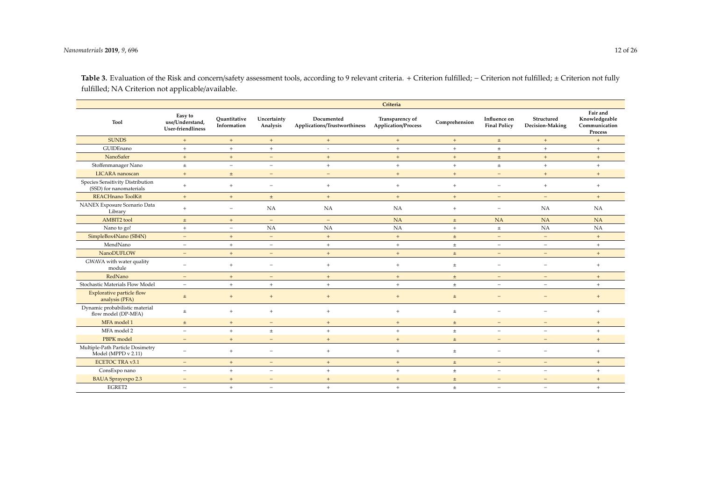|                                                             |                                                 |                             |                          |                                            | Criteria                                      |               |                                     |                               |                                                       |
|-------------------------------------------------------------|-------------------------------------------------|-----------------------------|--------------------------|--------------------------------------------|-----------------------------------------------|---------------|-------------------------------------|-------------------------------|-------------------------------------------------------|
| Tool                                                        | Easy to<br>use/Understand,<br>User-friendliness | Ouantitative<br>Information | Uncertainty<br>Analysis  | Documented<br>Applications/Trustworthiness | Transparency of<br><b>Application/Process</b> | Comprehension | Influence on<br><b>Final Policy</b> | Structured<br>Decision-Making | Fair and<br>Knowledgeable<br>Communication<br>Process |
| <b>SUNDS</b>                                                | $+$                                             | $+$                         | $+$                      | $+$                                        | $+$                                           | $^{+}$        | $\pm$                               | $+$                           | $+$                                                   |
| GUIDEnano                                                   | $+$                                             | $\pm$                       | $+$                      | $\overline{\phantom{a}}$                   | $+$                                           | $+$           | $\pm$                               | $+$                           | $+$                                                   |
| NanoSafer                                                   | $+$                                             | $+$                         | $\overline{\phantom{m}}$ | $+$                                        | $+$                                           | $^{+}$        | $\pm$                               | $+$                           | $+$                                                   |
| Stoffenmanager Nano                                         | $\pm$                                           | $\equiv$                    | $\overline{\phantom{m}}$ | $\pm$                                      | $+$                                           | $+$           | $\pm$                               | $+$                           | $+$                                                   |
| LICARA nanoscan                                             | $+$                                             | $\pm$                       | $\qquad \qquad -$        | $\qquad \qquad -$                          | $+$                                           | $+$           | $\equiv$                            | $+$                           | $+$                                                   |
| Species Sensitivity Distribution<br>(SSD) for nanomaterials | $+$                                             | $+$                         | $\overline{\phantom{m}}$ | $+$                                        | $+$                                           | $+$           | $\overline{\phantom{0}}$            | $\pm$                         | $+$                                                   |
| REACHnano ToolKit                                           | $+$                                             | $+$                         | $\pm$                    | $+$                                        | $+$                                           | $+$           | $\qquad \qquad -$                   | $\qquad \qquad -$             | $+$                                                   |
| <b>NANEX Exposure Scenario Data</b><br>Library              | $+$                                             | $\overline{\phantom{m}}$    | NA                       | NA                                         | NA                                            | $+$           | $\equiv$                            | NA                            | NA                                                    |
| AMBIT2 tool                                                 | $\pm$                                           | $+$                         | $\overline{\phantom{m}}$ | $\overline{\phantom{m}}$                   | NA                                            | $\pm$         | <b>NA</b>                           | <b>NA</b>                     | <b>NA</b>                                             |
| Nano to go!                                                 | $+$                                             | $\equiv$                    | NA                       | NA                                         | NA                                            | $+$           | $\pm$                               | NA                            | NA                                                    |
| SimpleBox4Nano (SB4N)                                       | $\equiv$                                        | $+$                         | $\equiv$                 | $\, +$                                     | $\boldsymbol{+}$                              | $\pm$         | $\overline{\phantom{m}}$            | $-$                           | $\boldsymbol{+}$                                      |
| MendNano                                                    | $\overline{\phantom{a}}$                        | $+$                         | $\overline{\phantom{a}}$ | $\pm$                                      | $+$                                           | $\pm$         | $\overline{\phantom{m}}$            | $\overline{\phantom{a}}$      | $+$                                                   |
| <b>NanoDUFLOW</b>                                           | $\overline{\phantom{0}}$                        | $+$                         | $\overline{\phantom{m}}$ | $+$                                        | $+$                                           | $\pm$         | $\overline{\phantom{m}}$            | $\overline{\phantom{m}}$      | $+$                                                   |
| GWAVA with water quality<br>module                          | $\equiv$                                        | $+$                         | $\overline{\phantom{a}}$ | $+$                                        | $+$                                           | $\pm$         | $\equiv$                            | ÷                             | $+$                                                   |
| RedNano                                                     | $\equiv$                                        | $+$                         | $\equiv$                 | $+$                                        | $+$                                           | $\pm$         | $\equiv$                            |                               | $+$                                                   |
| Stochastic Materials Flow Model                             | $\overline{\phantom{0}}$                        | $+$                         | $+$                      | $+$                                        | $+$                                           | $\pm$         | $\overline{a}$                      | $\overline{\phantom{m}}$      | $+$                                                   |
| <b>Explorative particle flow</b><br>analysis (PFA)          | $\pm$                                           | $\! + \!\!\!\!$             | $+$                      | $\, +$                                     | $+$                                           | $\pm$         | $\qquad \qquad -$                   |                               | $+$                                                   |
| Dynamic probabilistic material<br>flow model (DP-MFA)       | $\pm$                                           | $+$                         | $+$                      | $+$                                        | $+$                                           | $\pm$         | $\overline{\phantom{a}}$            | $\overline{\phantom{a}}$      | $+$                                                   |
| MFA model 1                                                 | $\pm$                                           | $+$                         | $\overline{\phantom{m}}$ | $+$                                        | $+$                                           | $\pm$         | $\overline{\phantom{m}}$            | $-$                           | $+$                                                   |
| MFA model 2                                                 | $\overline{\phantom{a}}$                        | $\pm$                       | $\pm$                    | $\pm$                                      | $+$                                           | $\pm$         | $\overline{\phantom{m}}$            | $\overline{\phantom{a}}$      | $+$                                                   |
| PBPK model                                                  | $-$                                             | $+$                         | $\equiv$                 | $+$                                        | $+$                                           | $\pm$         | $\overline{\phantom{m}}$            | $-$                           | $+$                                                   |
| Multiple-Path Particle Dosimetry<br>Model (MPPD v 2.11)     | $\overline{\phantom{0}}$                        | $+$                         | $\overline{\phantom{a}}$ | $+$                                        | $+$                                           | $\pm$         | $\overline{\phantom{0}}$            | $\sim$                        | $+$                                                   |
| <b>ECETOC TRA v3.1</b>                                      | $\qquad \qquad -$                               | $+$                         | $\qquad \qquad -$        | $+$                                        | $+$                                           | $\pm$         | $\qquad \qquad -$                   | $\overline{\phantom{m}}$      | $+$                                                   |
| ConsExpo nano                                               | $\equiv$                                        | $+$                         | $\overline{\phantom{m}}$ | $\pm$                                      | $+$                                           | $\pm$         | $\equiv$                            | $\sim$                        | $+$                                                   |
| <b>BAUA</b> Sprayexpo 2.3                                   | $\qquad \qquad -$                               | $\qquad \qquad +$           | $\qquad \qquad -$        | $\boldsymbol{+}$                           | $\qquad \qquad +$                             | $\pm$         | $\overline{\phantom{0}}$            | $\qquad \qquad -$             | $+$                                                   |
| EGRET2                                                      | $\overline{\phantom{0}}$                        | $+$                         | $\overline{\phantom{a}}$ | $+$                                        | $+$                                           | $\pm$         | $\overline{a}$                      | $\overline{\phantom{a}}$      | $+$                                                   |

Table 3. Evaluation of the Risk and concern/safety assessment tools, according to 9 relevant criteria. + Criterion fulfilled; − Criterion not fulfilled; ± Criterion not fully fulfilled; NA Criterion not applicable/available.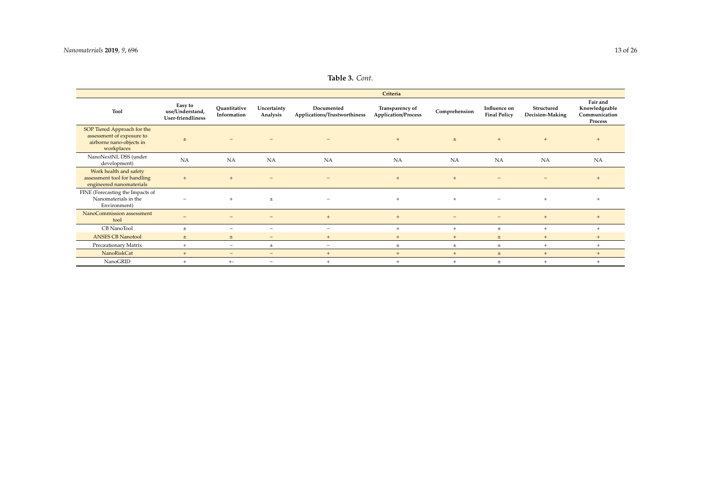# **Table 3.** *Cont.*

<span id="page-12-0"></span>

|                                                                                                    |                                                 |                             |                          |                                            | Criteria                                      |               |                                     |                               |                                                       |
|----------------------------------------------------------------------------------------------------|-------------------------------------------------|-----------------------------|--------------------------|--------------------------------------------|-----------------------------------------------|---------------|-------------------------------------|-------------------------------|-------------------------------------------------------|
| Tool                                                                                               | Easy to<br>use/Understand,<br>User-friendliness | Quantitative<br>Information | Uncertainty<br>Analysis  | Documented<br>Applications/Trustworthiness | Transparency of<br><b>Application/Process</b> | Comprehension | Influence on<br><b>Final Policy</b> | Structured<br>Decision-Making | Fair and<br>Knowledgeable<br>Communication<br>Process |
| SOP Tiered Approach for the<br>assessment of exposure to<br>airborne nano-objects in<br>workplaces | $\pm$                                           | $\overline{\phantom{a}}$    | $\overline{\phantom{0}}$ | $\qquad \qquad =$                          | $+$                                           | $\pm$         | $+$                                 | $+$                           | $+$                                                   |
| NanoNextNL DSS (under<br>development)                                                              | NA                                              | <b>NA</b>                   | <b>NA</b>                | NA                                         | NA                                            | <b>NA</b>     | NA                                  | NA                            | <b>NA</b>                                             |
| Work health and safety<br>assessment tool for handling<br>engineered nanomaterials                 | $+$                                             | $+$                         | $\overline{\phantom{0}}$ | $\qquad \qquad \longleftarrow$             | $+$                                           | $+$           |                                     |                               | $+$                                                   |
| FINE (Forecasting the Impacts of<br>Nanomaterials in the<br>Environment)                           | $\overline{\phantom{a}}$                        | $+$                         | $\pm$                    | $\qquad \qquad =$                          | $+$                                           | $+$           | $\sim$                              | $+$                           | $+$                                                   |
| NanoCommission assessment<br>tool                                                                  | $\equiv$                                        | $\overline{\phantom{a}}$    | $\overline{\phantom{a}}$ | $+$                                        | $\overline{+}$                                |               | $\overline{\phantom{0}}$            | $+$                           | $+$                                                   |
| CB NanoTool                                                                                        | $\ddot{}$                                       | $\overline{\phantom{m}}$    | $\overline{\phantom{a}}$ | $\overline{\phantom{a}}$                   | $+$                                           | $+$           | $\pm$                               | $+$                           | $+$                                                   |
| <b>ANSES CB Nanotool</b>                                                                           | $\pm$                                           | $\pm$                       | $\qquad \qquad -$        | $+$                                        | $+$                                           | $+$           | $\pm$                               | $+$                           | $+$                                                   |
| Precautionary Matrix                                                                               | $\overline{+}$                                  | $\overline{\phantom{a}}$    | $\pm$                    | $\overline{\phantom{a}}$                   | $\pm$                                         | $\pm$         | $\pm$                               | $+$                           | $+$                                                   |
| NanoRiskCat                                                                                        | $+$                                             | $\qquad \qquad -$           | $\qquad \qquad -$        | $+$                                        | $+$                                           | $+$           | $\pm$                               | $+$                           | $+$                                                   |
| NanoGRID                                                                                           | $\overline{+}$                                  | $+ -$                       | $\overline{\phantom{0}}$ | $+$                                        |                                               | $+$           | $\pm$                               | $+$                           | $+$                                                   |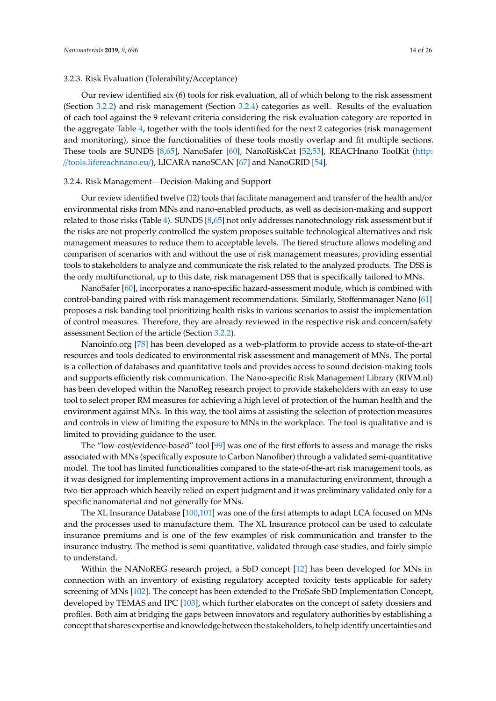and monitoring), since the functionalities of these tools mostly overlap and fit multiple sections. These tools are SUNDS [\[8,](#page-21-6)[65\]](#page-23-16), NanoSafer [\[60\]](#page-23-11), NanoRiskCat [\[52,](#page-23-4)[53\]](#page-23-5), REACHnano ToolKit [\(http:](http://tools.lifereachnano.eu/) //[tools.lifereachnano.eu](http://tools.lifereachnano.eu/)/), LICARA nanoSCAN [\[67\]](#page-24-0) and NanoGRID [\[54\]](#page-23-6).

#### <span id="page-13-0"></span>3.2.4. Risk Management—Decision-Making and Support

Our review identified twelve (12) tools that facilitate management and transfer of the health and/or environmental risks from MNs and nano-enabled products, as well as decision-making and support related to those risks (Table [4\)](#page-15-0). SUNDS [\[8,](#page-21-6)[65\]](#page-23-16) not only addresses nanotechnology risk assessment but if the risks are not properly controlled the system proposes suitable technological alternatives and risk management measures to reduce them to acceptable levels. The tiered structure allows modeling and comparison of scenarios with and without the use of risk management measures, providing essential tools to stakeholders to analyze and communicate the risk related to the analyzed products. The DSS is the only multifunctional, up to this date, risk management DSS that is specifically tailored to MNs.

NanoSafer [\[60\]](#page-23-11), incorporates a nano-specific hazard-assessment module, which is combined with control-banding paired with risk management recommendations. Similarly, Stoffenmanager Nano [\[61\]](#page-23-12) proposes a risk-banding tool prioritizing health risks in various scenarios to assist the implementation of control measures. Therefore, they are already reviewed in the respective risk and concern/safety assessment Section of the article (Section [3.2.2\)](#page-9-0).

Nanoinfo.org [\[78\]](#page-24-11) has been developed as a web-platform to provide access to state-of-the-art resources and tools dedicated to environmental risk assessment and management of MNs. The portal is a collection of databases and quantitative tools and provides access to sound decision-making tools and supports efficiently risk communication. The Nano-specific Risk Management Library (RIVM.nl) has been developed within the NanoReg research project to provide stakeholders with an easy to use tool to select proper RM measures for achieving a high level of protection of the human health and the environment against MNs. In this way, the tool aims at assisting the selection of protection measures and controls in view of limiting the exposure to MNs in the workplace. The tool is qualitative and is limited to providing guidance to the user.

The "low-cost/evidence-based" tool [\[99\]](#page-25-10) was one of the first efforts to assess and manage the risks associated with MNs (specifically exposure to Carbon Nanofiber) through a validated semi-quantitative model. The tool has limited functionalities compared to the state-of-the-art risk management tools, as it was designed for implementing improvement actions in a manufacturing environment, through a two-tier approach which heavily relied on expert judgment and it was preliminary validated only for a specific nanomaterial and not generally for MNs.

The XL Insurance Database [\[100](#page-25-11)[,101\]](#page-25-12) was one of the first attempts to adapt LCA focused on MNs and the processes used to manufacture them. The XL Insurance protocol can be used to calculate insurance premiums and is one of the few examples of risk communication and transfer to the insurance industry. The method is semi-quantitative, validated through case studies, and fairly simple to understand.

Within the NANoREG research project, a SbD concept [\[12\]](#page-21-10) has been developed for MNs in connection with an inventory of existing regulatory accepted toxicity tests applicable for safety screening of MNs [\[102\]](#page-25-13). The concept has been extended to the ProSafe SbD Implementation Concept, developed by TEMAS and IPC [\[103\]](#page-25-14), which further elaborates on the concept of safety dossiers and profiles. Both aim at bridging the gaps between innovators and regulatory authorities by establishing a concept that shares expertise and knowledge between the stakeholders, to help identify uncertainties and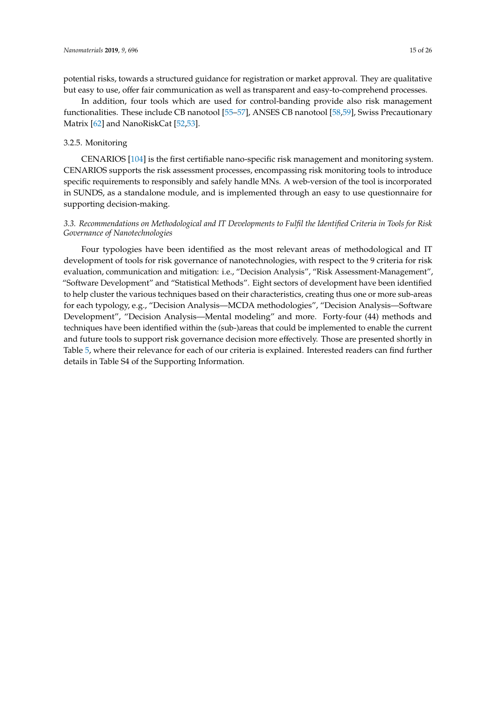potential risks, towards a structured guidance for registration or market approval. They are qualitative but easy to use, offer fair communication as well as transparent and easy-to-comprehend processes.

In addition, four tools which are used for control-banding provide also risk management functionalities. These include CB nanotool [\[55–](#page-23-7)[57\]](#page-23-8), ANSES CB nanotool [\[58](#page-23-9)[,59\]](#page-23-10), Swiss Precautionary Matrix [\[62\]](#page-23-13) and NanoRiskCat [\[52](#page-23-4)[,53\]](#page-23-5).

### 3.2.5. Monitoring

CENARIOS [\[104\]](#page-25-15) is the first certifiable nano-specific risk management and monitoring system. CENARIOS supports the risk assessment processes, encompassing risk monitoring tools to introduce specific requirements to responsibly and safely handle MNs. A web-version of the tool is incorporated in SUNDS, as a standalone module, and is implemented through an easy to use questionnaire for supporting decision-making.

# <span id="page-14-0"></span>*3.3. Recommendations on Methodological and IT Developments to Fulfil the Identified Criteria in Tools for Risk Governance of Nanotechnologies*

Four typologies have been identified as the most relevant areas of methodological and IT development of tools for risk governance of nanotechnologies, with respect to the 9 criteria for risk evaluation, communication and mitigation: i.e., "Decision Analysis", "Risk Assessment-Management", "Software Development" and "Statistical Methods". Eight sectors of development have been identified to help cluster the various techniques based on their characteristics, creating thus one or more sub-areas for each typology, e.g., "Decision Analysis—MCDA methodologies", "Decision Analysis—Software Development", "Decision Analysis—Mental modeling" and more. Forty-four (44) methods and techniques have been identified within the (sub-)areas that could be implemented to enable the current and future tools to support risk governance decision more effectively. Those are presented shortly in Table [5,](#page-17-0) where their relevance for each of our criteria is explained. Interested readers can find further details in Table S4 of the Supporting Information.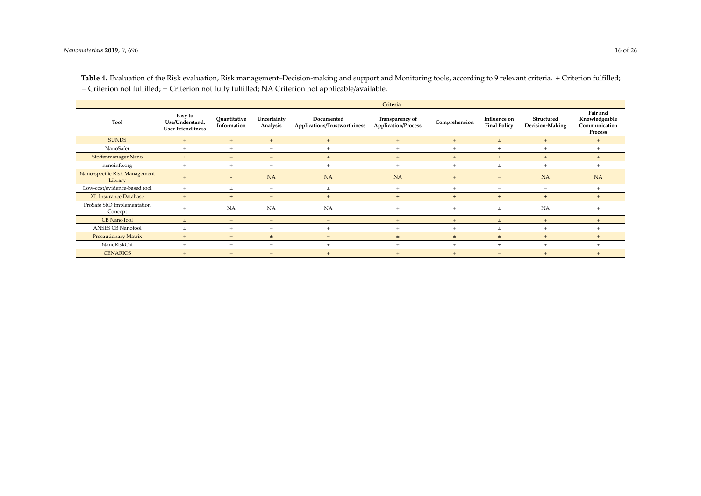<span id="page-15-0"></span>

|                                          |                                                        |                             |                              |                                            | Criteria                               |               |                                     |                               |                                                       |
|------------------------------------------|--------------------------------------------------------|-----------------------------|------------------------------|--------------------------------------------|----------------------------------------|---------------|-------------------------------------|-------------------------------|-------------------------------------------------------|
| <b>Tool</b>                              | Easy to<br>Use/Understand,<br><b>User-Friendliness</b> | Ouantitative<br>Information | Uncertainty<br>Analysis      | Documented<br>Applications/Trustworthiness | Transparency of<br>Application/Process | Comprehension | Influence on<br><b>Final Policy</b> | Structured<br>Decision-Making | Fair and<br>Knowledgeable<br>Communication<br>Process |
| <b>SUNDS</b>                             | $+$                                                    | $+$                         | $+$                          | $+$                                        | $+$                                    | $+$           | $\pm$                               | $+$                           | $+$                                                   |
| NanoSafer                                | $+$                                                    | $+$                         | $\qquad \qquad =$            | $+$                                        | $+$                                    | $+$           | $\pm$                               | $+$                           | $+$                                                   |
| Stoffenmanager Nano                      | $\pm$                                                  | $\overline{\phantom{m}}$    | $\qquad \qquad =$            | $+$                                        | $+$                                    | $+$           | $\pm$                               | $+$                           | $+$                                                   |
| nanoinfo.org                             | $\overline{+}$                                         | $+$                         | $\qquad \qquad =$            | $+$                                        | $+$                                    | $+$           | $\pm$                               | $+$                           | $+$                                                   |
| Nano-specific Risk Management<br>Library |                                                        | $\overline{a}$              | <b>NA</b>                    | <b>NA</b>                                  | <b>NA</b>                              | $+$           | $\qquad \qquad =$                   | <b>NA</b>                     | <b>NA</b>                                             |
| Low-cost/evidence-based tool             | $\overline{+}$                                         | $\pm$                       | $\qquad \qquad =$            | $\pm$                                      | $+$                                    | $\ddot{}$     | $\overline{\phantom{m}}$            | $\sim$                        | $+$                                                   |
| <b>XL Insurance Database</b>             | $+$                                                    | $\pm$                       | $\qquad \qquad -$            | $+$                                        | $\pm$                                  | $\pm$         | $\pm$                               | $\pm$                         | $+$                                                   |
| ProSafe SbD Implementation<br>Concept    |                                                        | <b>NA</b>                   | <b>NA</b>                    | <b>NA</b>                                  | $+$                                    | $+$           | $\pm$                               | <b>NA</b>                     | $\pm$                                                 |
| <b>CB</b> NanoTool                       | $\pm$                                                  | $\overline{\phantom{m}}$    | $\qquad \qquad =$            | $\qquad \qquad -$                          | $+$                                    | $+$           | $\pm$                               | $+$                           | $+$                                                   |
| <b>ANSES CB Nanotool</b>                 | $\pm$                                                  | $+$                         | $\qquad \qquad \blacksquare$ | $+$                                        | $+$                                    | $+$           | $\pm$                               | $+$                           | $+$                                                   |
| <b>Precautionary Matrix</b>              | $+$                                                    | $\overline{\phantom{m}}$    | $\pm$                        | $\qquad \qquad -$                          | $\pm$                                  | $\pm$         | $\pm$                               | $+$                           | $+$                                                   |
| NanoRiskCat                              | $+$                                                    | $\equiv$                    | $\qquad \qquad =$            | $+$                                        | $+$                                    | $+$           | $_{\pm}$                            | $+$                           | $+$                                                   |
| <b>CENARIOS</b>                          | $\overline{+}$                                         | $\qquad \qquad =$           | $\qquad \qquad =$            | $+$                                        | $+$                                    | $+$           | $\overline{\phantom{m}}$            | $+$                           | $+$                                                   |

**Table 4.** Evaluation of the Risk evaluation, Risk management–Decision-making and support and Monitoring tools, according to 9 relevant criteria. + Criterion fulfilled; − Criterion not fulfilled; ± Criterion not fully fulfilled; NA Criterion not applicable/available.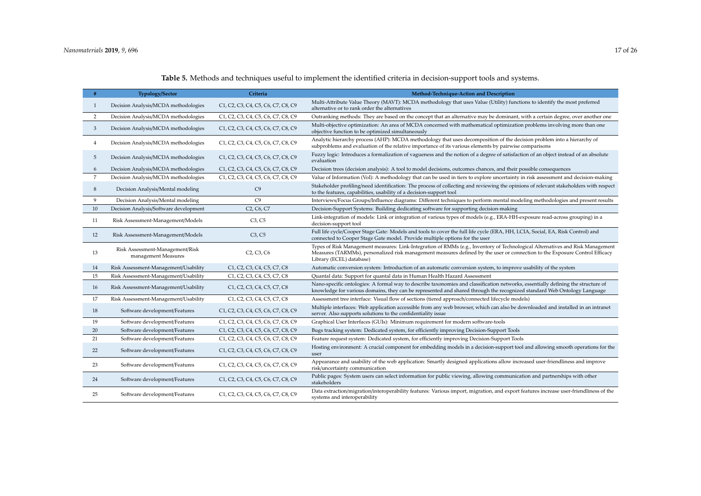| Table 5. Methods and techniques useful to implement the identified criteria in decision-support tools and systems. |  |
|--------------------------------------------------------------------------------------------------------------------|--|
|--------------------------------------------------------------------------------------------------------------------|--|

|                | <b>Typology/Sector</b>                                 | Criteria                                                                                                                                               | Method-Technique-Action and Description                                                                                                                                                                                                                                                   |
|----------------|--------------------------------------------------------|--------------------------------------------------------------------------------------------------------------------------------------------------------|-------------------------------------------------------------------------------------------------------------------------------------------------------------------------------------------------------------------------------------------------------------------------------------------|
| 1              | Decision Analysis/MCDA methodologies                   | C1, C2, C3, C4, C5, C6, C7, C8, C9                                                                                                                     | Multi-Attribute Value Theory (MAVT): MCDA methodology that uses Value (Utility) functions to identify the most preferred<br>alternative or to rank order the alternatives                                                                                                                 |
| $\overline{2}$ | Decision Analysis/MCDA methodologies                   | C1, C2, C3, C4, C5, C6, C7, C8, C9                                                                                                                     | Outranking methods: They are based on the concept that an alternative may be dominant, with a certain degree, over another one                                                                                                                                                            |
| 3              | Decision Analysis/MCDA methodologies                   | C1, C2, C3, C4, C5, C6, C7, C8, C9                                                                                                                     | Multi-objective optimization: An area of MCDA concerned with mathematical optimization problems involving more than one<br>objective function to be optimized simultaneously                                                                                                              |
| $\overline{4}$ | Decision Analysis/MCDA methodologies                   | C1, C2, C3, C4, C5, C6, C7, C8, C9                                                                                                                     | Analytic hierarchy process (AHP): MCDA methodology that uses decomposition of the decision problem into a hierarchy of<br>subproblems and evaluation of the relative importance of its various elements by pairwise comparisons                                                           |
| 5              | Decision Analysis/MCDA methodologies                   | C <sub>1</sub> , C <sub>2</sub> , C <sub>3</sub> , C <sub>4</sub> , C <sub>5</sub> , C <sub>6</sub> , C <sub>7</sub> , C <sub>8</sub> , C <sub>9</sub> | Fuzzy logic: Introduces a formalization of vagueness and the notion of a degree of satisfaction of an object instead of an absolute<br>evaluation                                                                                                                                         |
| 6              | Decision Analysis/MCDA methodologies                   | C1, C2, C3, C4, C5, C6, C7, C8, C9                                                                                                                     | Decision trees (decision analysis): A tool to model decisions, outcomes chances, and their possible consequences                                                                                                                                                                          |
| $\overline{7}$ | Decision Analysis/MCDA methodologies                   | C1, C2, C3, C4, C5, C6, C7, C8, C9                                                                                                                     | Value of Information (VoI): A methodology that can be used in tiers to explore uncertainty in risk assessment and decision-making                                                                                                                                                         |
| 8              | Decision Analysis/Mental modeling                      | C9                                                                                                                                                     | Stakeholder profiling/need identification: The process of collecting and reviewing the opinions of relevant stakeholders with respect<br>to the features, capabilities, usability of a decision-support tool                                                                              |
| 9              | Decision Analysis/Mental modeling                      | C9                                                                                                                                                     | Interviews/Focus Groups/Influence diagrams: Different techniques to perform mental modeling methodologies and present results                                                                                                                                                             |
| 10             | Decision Analysis/Software development                 | C <sub>2</sub> , C <sub>6</sub> , C <sub>7</sub>                                                                                                       | Decision-Support Systems: Building dedicating software for supporting decision-making                                                                                                                                                                                                     |
| 11             | Risk Assessment-Management/Models                      | C3, C5                                                                                                                                                 | Link-integration of models: Link or integration of various types of models (e.g., ERA-HH-exposure read-across grouping) in a<br>decision-support tool                                                                                                                                     |
| 12             | Risk Assessment-Management/Models                      | C3, C5                                                                                                                                                 | Full life cycle/Cooper Stage Gate: Models and tools to cover the full life cycle (ERA, HH, LCIA, Social, EA, Risk Control) and<br>connected to Cooper Stage Gate model. Provide multiple options for the user                                                                             |
| 13             | Risk Assessment-Management/Risk<br>management Measures | C <sub>2</sub> , C <sub>3</sub> , C <sub>6</sub>                                                                                                       | Types of Risk Management measures: Link-Integration of RMMs (e.g., Inventory of Technological Alternatives and Risk Management<br>Measures (TARMMs), personalized risk management measures defined by the user or connection to the Exposure Control Efficacy<br>Library (ECEL) database) |
| 14             | Risk Assessment-Management/Usability                   | C1, C2, C3, C4, C5, C7, C8                                                                                                                             | Automatic conversion system: Introduction of an automatic conversion system, to improve usability of the system                                                                                                                                                                           |
| 15             | Risk Assessment-Management/Usability                   | C1, C2, C3, C4, C5, C7, C8                                                                                                                             | Quantal data: Support for quantal data in Human Health Hazard Assessment                                                                                                                                                                                                                  |
| 16             | Risk Assessment-Management/Usability                   | C <sub>1</sub> , C <sub>2</sub> , C <sub>3</sub> , C <sub>4</sub> , C <sub>5</sub> , C <sub>7</sub> , C <sub>8</sub>                                   | Nano-specific ontologies: A formal way to describe taxonomies and classification networks, essentially defining the structure of<br>knowledge for various domains, they can be represented and shared through the recognized standard Web Ontology Language                               |
| 17             | Risk Assessment-Management/Usability                   | C1, C2, C3, C4, C5, C7, C8                                                                                                                             | Assessment tree interface: Visual flow of sections (tiered approach/connected lifecycle models)                                                                                                                                                                                           |
| 18             | Software development/Features                          | C1, C2, C3, C4, C5, C6, C7, C8, C9                                                                                                                     | Multiple interfaces: Web application accessible from any web browser, which can also be downloaded and installed in an intranet<br>server. Also supports solutions to the confidentiality issue                                                                                           |
| 19             | Software development/Features                          | C1, C2, C3, C4, C5, C6, C7, C8, C9                                                                                                                     | Graphical User Interfaces (GUIs): Minimum requirement for modern software-tools                                                                                                                                                                                                           |
| 20             | Software development/Features                          | C1, C2, C3, C4, C5, C6, C7, C8, C9                                                                                                                     | Bugs tracking system: Dedicated system, for efficiently improving Decision-Support Tools                                                                                                                                                                                                  |
| 21             | Software development/Features                          | C1, C2, C3, C4, C5, C6, C7, C8, C9                                                                                                                     | Feature request system: Dedicated system, for efficiently improving Decision-Support Tools                                                                                                                                                                                                |
| 22             | Software development/Features                          | C1, C2, C3, C4, C5, C6, C7, C8, C9                                                                                                                     | Hosting environment: A crucial component for embedding models in a decision-support tool and allowing smooth operations for the<br>user                                                                                                                                                   |
| 23             | Software development/Features                          | C1, C2, C3, C4, C5, C6, C7, C8, C9                                                                                                                     | Appearance and usability of the web application: Smartly designed applications allow increased user-friendliness and improve<br>risk/uncertainty communication                                                                                                                            |
| 24             | Software development/Features                          | C1, C2, C3, C4, C5, C6, C7, C8, C9                                                                                                                     | Public pages: System users can select information for public viewing, allowing communication and partnerships with other<br>stakeholders                                                                                                                                                  |
| 25             | Software development/Features                          | C1, C2, C3, C4, C5, C6, C7, C8, C9                                                                                                                     | Data extraction/migration/interoperability features: Various import, migration, and export features increase user-friendliness of the<br>systems and interoperability                                                                                                                     |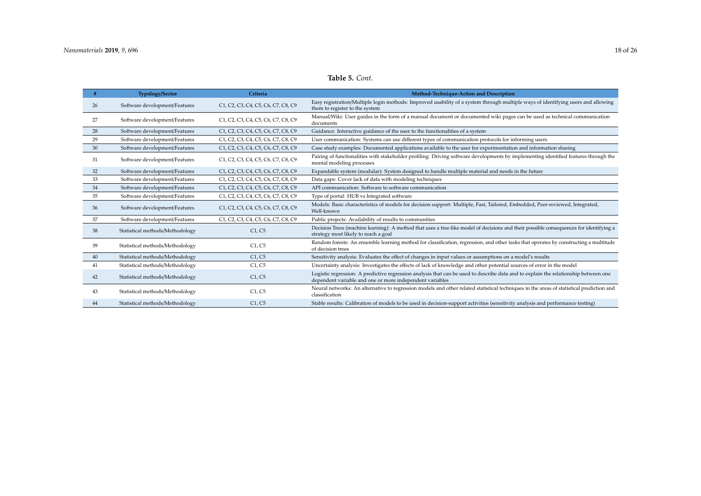# **Table 5.** *Cont.*

<span id="page-17-0"></span>

|    | <b>Typology/Sector</b>          | Criteria                           | Method-Technique-Action and Description                                                                                                                                                         |
|----|---------------------------------|------------------------------------|-------------------------------------------------------------------------------------------------------------------------------------------------------------------------------------------------|
| 26 | Software development/Features   | C1, C2, C3, C4, C5, C6, C7, C8, C9 | Easy registration/Multiple login methods: Improved usability of a system through multiple ways of identifying users and allowing<br>them to register to the system                              |
| 27 | Software development/Features   | C1, C2, C3, C4, C5, C6, C7, C8, C9 | Manual/Wiki: User guides in the form of a manual document or documented wiki pages can be used as technical communication<br>documents                                                          |
| 28 | Software development/Features   | C1, C2, C3, C4, C5, C6, C7, C8, C9 | Guidance: Interactive guidance of the user to the functionalities of a system                                                                                                                   |
| 29 | Software development/Features   | C1, C2, C3, C4, C5, C6, C7, C8, C9 | User communication: Systems can use different types of communication protocols for informing users                                                                                              |
| 30 | Software development/Features   | C1, C2, C3, C4, C5, C6, C7, C8, C9 | Case study examples: Documented applications available to the user for experimentation and information sharing                                                                                  |
| 31 | Software development/Features   | C1, C2, C3, C4, C5, C6, C7, C8, C9 | Pairing of functionalities with stakeholder profiling: Driving software developments by implementing identified features through the<br>mental modeling processes                               |
| 32 | Software development/Features   | C1, C2, C3, C4, C5, C6, C7, C8, C9 | Expandable system (modular): System designed to handle multiple material and needs in the future                                                                                                |
| 33 | Software development/Features   | C1, C2, C3, C4, C5, C6, C7, C8, C9 | Data gaps: Cover lack of data with modeling techniques                                                                                                                                          |
| 34 | Software development/Features   | C1, C2, C3, C4, C5, C6, C7, C8, C9 | API communication: Software to software communication                                                                                                                                           |
| 35 | Software development/Features   | C1, C2, C3, C4, C5, C6, C7, C8, C9 | Type of portal: HUB vs Integrated software                                                                                                                                                      |
| 36 | Software development/Features   | C1, C2, C3, C4, C5, C6, C7, C8, C9 | Models: Basic characteristics of models for decision support: Multiple, Fast, Tailored, Embedded, Peer-reviewed, Integrated,<br>Well-known                                                      |
| 37 | Software development/Features   | C1, C2, C3, C4, C5, C6, C7, C8, C9 | Public projects: Availability of results to communities                                                                                                                                         |
| 38 | Statistical methods/Methodology | C1, C5                             | Decision Trees (machine learning): A method that uses a tree-like model of decisions and their possible consequences for identifying a<br>strategy most likely to reach a goal                  |
| 39 | Statistical methods/Methodology | C1, C5                             | Random forests: An ensemble learning method for classification, regression, and other tasks that operates by constructing a multitude<br>of decision trees                                      |
| 40 | Statistical methods/Methodology | C1, C5                             | Sensitivity analysis: Evaluates the effect of changes in input values or assumptions on a model's results                                                                                       |
| 41 | Statistical methods/Methodology | C1, C5                             | Uncertainty analysis: Investigates the effects of lack of knowledge and other potential sources of error in the model                                                                           |
| 42 | Statistical methods/Methodology | C1, C5                             | Logistic regression: A predictive regression analysis that can be used to describe data and to explain the relationship between one<br>dependent variable and one or more independent variables |
| 43 | Statistical methods/Methodology | C1, C5                             | Neural networks: An alternative to regression models and other related statistical techniques in the areas of statistical prediction and<br>classification                                      |
| 44 | Statistical methods/Methodology | C1, C5                             | Stable results: Calibration of models to be used in decision-support activities (sensitivity analysis and performance testing)                                                                  |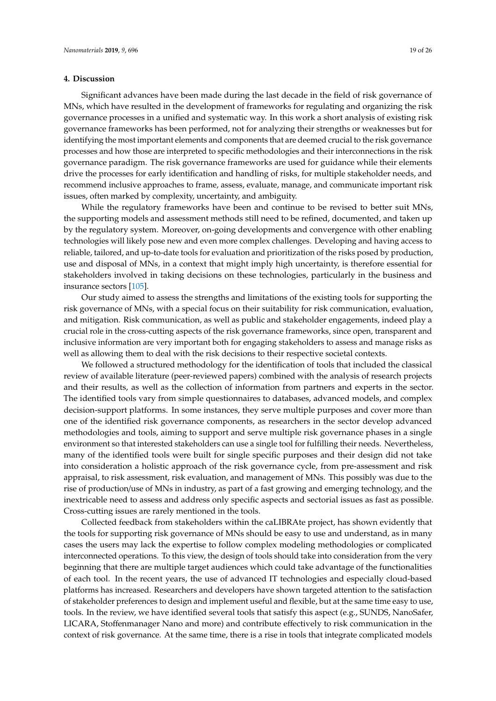#### **4. Discussion**

Significant advances have been made during the last decade in the field of risk governance of MNs, which have resulted in the development of frameworks for regulating and organizing the risk governance processes in a unified and systematic way. In this work a short analysis of existing risk governance frameworks has been performed, not for analyzing their strengths or weaknesses but for identifying the most important elements and components that are deemed crucial to the risk governance processes and how those are interpreted to specific methodologies and their interconnections in the risk governance paradigm. The risk governance frameworks are used for guidance while their elements drive the processes for early identification and handling of risks, for multiple stakeholder needs, and recommend inclusive approaches to frame, assess, evaluate, manage, and communicate important risk issues, often marked by complexity, uncertainty, and ambiguity.

While the regulatory frameworks have been and continue to be revised to better suit MNs, the supporting models and assessment methods still need to be refined, documented, and taken up by the regulatory system. Moreover, on-going developments and convergence with other enabling technologies will likely pose new and even more complex challenges. Developing and having access to reliable, tailored, and up-to-date tools for evaluation and prioritization of the risks posed by production, use and disposal of MNs, in a context that might imply high uncertainty, is therefore essential for stakeholders involved in taking decisions on these technologies, particularly in the business and insurance sectors [\[105\]](#page-25-16).

Our study aimed to assess the strengths and limitations of the existing tools for supporting the risk governance of MNs, with a special focus on their suitability for risk communication, evaluation, and mitigation. Risk communication, as well as public and stakeholder engagements, indeed play a crucial role in the cross-cutting aspects of the risk governance frameworks, since open, transparent and inclusive information are very important both for engaging stakeholders to assess and manage risks as well as allowing them to deal with the risk decisions to their respective societal contexts.

We followed a structured methodology for the identification of tools that included the classical review of available literature (peer-reviewed papers) combined with the analysis of research projects and their results, as well as the collection of information from partners and experts in the sector. The identified tools vary from simple questionnaires to databases, advanced models, and complex decision-support platforms. In some instances, they serve multiple purposes and cover more than one of the identified risk governance components, as researchers in the sector develop advanced methodologies and tools, aiming to support and serve multiple risk governance phases in a single environment so that interested stakeholders can use a single tool for fulfilling their needs. Nevertheless, many of the identified tools were built for single specific purposes and their design did not take into consideration a holistic approach of the risk governance cycle, from pre-assessment and risk appraisal, to risk assessment, risk evaluation, and management of MNs. This possibly was due to the rise of production/use of MNs in industry, as part of a fast growing and emerging technology, and the inextricable need to assess and address only specific aspects and sectorial issues as fast as possible. Cross-cutting issues are rarely mentioned in the tools.

Collected feedback from stakeholders within the caLIBRAte project, has shown evidently that the tools for supporting risk governance of MNs should be easy to use and understand, as in many cases the users may lack the expertise to follow complex modeling methodologies or complicated interconnected operations. To this view, the design of tools should take into consideration from the very beginning that there are multiple target audiences which could take advantage of the functionalities of each tool. In the recent years, the use of advanced IT technologies and especially cloud-based platforms has increased. Researchers and developers have shown targeted attention to the satisfaction of stakeholder preferences to design and implement useful and flexible, but at the same time easy to use, tools. In the review, we have identified several tools that satisfy this aspect (e.g., SUNDS, NanoSafer, LICARA, Stoffenmanager Nano and more) and contribute effectively to risk communication in the context of risk governance. At the same time, there is a rise in tools that integrate complicated models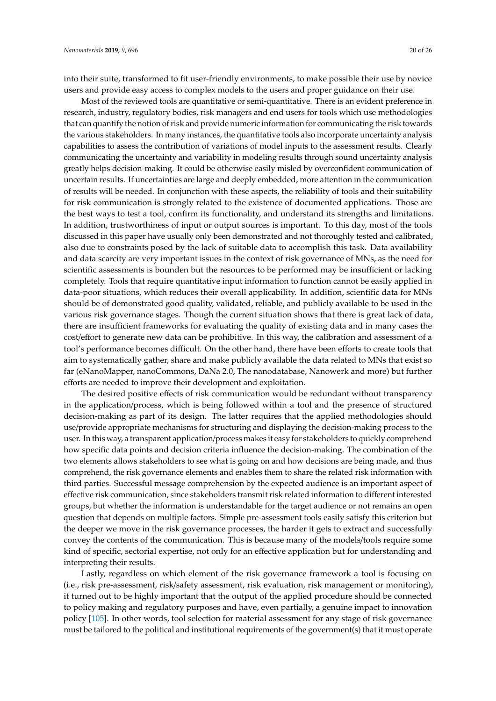into their suite, transformed to fit user-friendly environments, to make possible their use by novice users and provide easy access to complex models to the users and proper guidance on their use.

Most of the reviewed tools are quantitative or semi-quantitative. There is an evident preference in research, industry, regulatory bodies, risk managers and end users for tools which use methodologies that can quantify the notion of risk and provide numeric information for communicating the risk towards the various stakeholders. In many instances, the quantitative tools also incorporate uncertainty analysis capabilities to assess the contribution of variations of model inputs to the assessment results. Clearly communicating the uncertainty and variability in modeling results through sound uncertainty analysis greatly helps decision-making. It could be otherwise easily misled by overconfident communication of uncertain results. If uncertainties are large and deeply embedded, more attention in the communication of results will be needed. In conjunction with these aspects, the reliability of tools and their suitability for risk communication is strongly related to the existence of documented applications. Those are the best ways to test a tool, confirm its functionality, and understand its strengths and limitations. In addition, trustworthiness of input or output sources is important. To this day, most of the tools discussed in this paper have usually only been demonstrated and not thoroughly tested and calibrated, also due to constraints posed by the lack of suitable data to accomplish this task. Data availability and data scarcity are very important issues in the context of risk governance of MNs, as the need for scientific assessments is bounden but the resources to be performed may be insufficient or lacking completely. Tools that require quantitative input information to function cannot be easily applied in data-poor situations, which reduces their overall applicability. In addition, scientific data for MNs should be of demonstrated good quality, validated, reliable, and publicly available to be used in the various risk governance stages. Though the current situation shows that there is great lack of data, there are insufficient frameworks for evaluating the quality of existing data and in many cases the cost/effort to generate new data can be prohibitive. In this way, the calibration and assessment of a tool's performance becomes difficult. On the other hand, there have been efforts to create tools that aim to systematically gather, share and make publicly available the data related to MNs that exist so far (eNanoMapper, nanoCommons, DaNa 2.0, The nanodatabase, Nanowerk and more) but further efforts are needed to improve their development and exploitation.

The desired positive effects of risk communication would be redundant without transparency in the application/process, which is being followed within a tool and the presence of structured decision-making as part of its design. The latter requires that the applied methodologies should use/provide appropriate mechanisms for structuring and displaying the decision-making process to the user. In this way, a transparent application/process makes it easy for stakeholders to quickly comprehend how specific data points and decision criteria influence the decision-making. The combination of the two elements allows stakeholders to see what is going on and how decisions are being made, and thus comprehend, the risk governance elements and enables them to share the related risk information with third parties. Successful message comprehension by the expected audience is an important aspect of effective risk communication, since stakeholders transmit risk related information to different interested groups, but whether the information is understandable for the target audience or not remains an open question that depends on multiple factors. Simple pre-assessment tools easily satisfy this criterion but the deeper we move in the risk governance processes, the harder it gets to extract and successfully convey the contents of the communication. This is because many of the models/tools require some kind of specific, sectorial expertise, not only for an effective application but for understanding and interpreting their results.

Lastly, regardless on which element of the risk governance framework a tool is focusing on (i.e., risk pre-assessment, risk/safety assessment, risk evaluation, risk management or monitoring), it turned out to be highly important that the output of the applied procedure should be connected to policy making and regulatory purposes and have, even partially, a genuine impact to innovation policy [\[105\]](#page-25-16). In other words, tool selection for material assessment for any stage of risk governance must be tailored to the political and institutional requirements of the government(s) that it must operate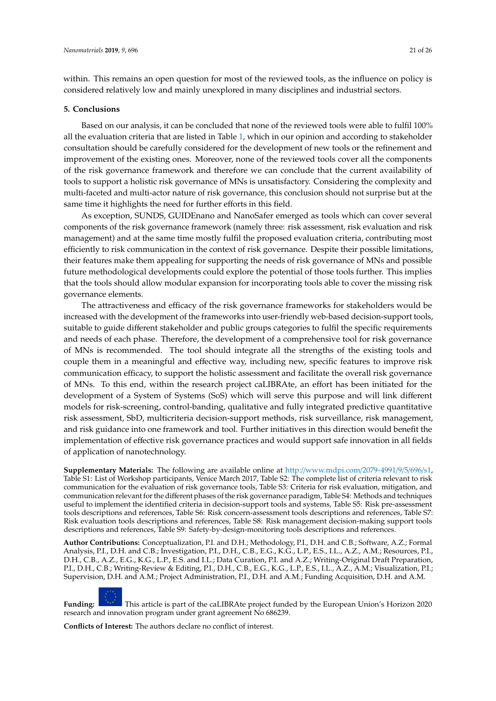within. This remains an open question for most of the reviewed tools, as the influence on policy is considered relatively low and mainly unexplored in many disciplines and industrial sectors.

# **5. Conclusions 5. Conclusions**

Based on our analysis, it can be concluded that none of the reviewed tools were able to fulfil 100% all th[e](#page-5-0) evaluation criteria that are listed in Table 1, which in our opinion and according to stakeholder consultation should be carefully considered for the development of new tools or the refinement and consultation should be carefully considered for the development of new tools or the refinement and improvement of the existing ones. Moreover, none of the reviewed tools cover all the components of the risk governance framework and therefore we can conclude that the current availability of tools to support a holistic risk governance of MNs is unsatisfactory. Considering the complexity and multi-faceted and multi-actor nature of risk governance, this conclusion should not surprise but at the same time it highlights the need for further efforts in this field.

As exception, SUNDS, GUIDEnano and NanoSafer emerged as tools which can cover several As exception, SUNDS, GUIDEnano and NanoSafer emerged as tools which can cover several components of the risk governance framework (namely three: risk assessment, risk evaluation and risk components of the risk governance framework (namely three: risk assessment, risk evaluation and risk management) and at the same time mostly fulfil the proposed evaluation criteria, contributing most management) and at the same time mostly fulfil the proposed evaluation criteria, contributing most efficiently to risk communication in the context of risk governance. Despite their possible limitations, efficiently to risk communication in the context of risk governance. Despite their possible limitations, their their features make them appealing for supporting the needs of risk governance of MNs and possible future methodological developments could explore the potential of those tools further. This implies that the tools should allow modular expansion for incorporating tools able to cover the missing risk governance elements. The attractiveness and efficiency of the risk governance frameworks for stakeholders would be increased be increased be increased be increased be increased be increased by increased be increased by inc

The attractiveness and efficacy of the risk governance frameworks for stakeholders would be increased with the development of the frameworks into user-friendly web-based decision-support tools, suitable to guide different stakeholder and public groups categories to fulfil the specific requirements and needs of each phase. Therefore, the development of a comprehensive tool for risk governance of MNs is recommended. The tool should integrate all the strengths of the existing tools and couple them in a meaningful and effective way, including new, specific features to improve risk communication efficacy, to support the holistic assessment and facilitate the overall risk governance of MNs. To this end, within the research project caLIBRAte, an effort has been initiated for the development of a System of Systems (SoS) which will serve this purpose and will link different models for risk-screening, control-banding, qualitative and fully integrated predictive quantitative risk assessment, SbD, multicriteria decision-support methods, risk surveillance, risk management, and risk guidance into one framework and tool. Further initiatives in this direction would benefit the implementation of effective risk governance practices and would support safe innovation in all fields of application of nanotechnology.  $W_{\text{L}}$  participants, Veneciation  $\mathcal{O}$ 

Supplementary Materials: The following are available online at http://www.mdpi.com/2079-4991/9/5/696/s1, Table S1: List of Workshop participants, Venice March 2017, Table S2: The complete list of criteria relevant to risk communication for the evaluation of risk governance tools, Table S3: Criteria for risk evaluation, mitigation, and communication relevant for the different phases of the risk governance paradigm, Table S4: Methods and techniques<br>1996 - Litterature discussion by the title with the state of the state of the discussion Table CE, Dislocati useful to implement the identified criteria in decision-support tools and systems, Table S5: Risk pre-assessment tools descriptions and references, Table S6: Risk concern-assessment tools descriptions and references, Table S7: Risk evaluation tools descriptions and references, Table S8: Risk management decision-making support tools descriptions and references, Table S9: Safety-by-design-monitoring tools descriptions and references.

Author Contributions: Conceptualization, P.I. and D.H.; Methodology, P.I., D.H. and C.B.; Software, A.Z.; Formal Analysis, P.I., D.H. and C.B.; Investigation, P.I., D.H., C.B., E.G., K.G., L.P., E.S., I.L., A.Z., A.M.; Resources, P.I., D.H., C.B., A.Z., E.G., K.G., L.P., E.S. and I.L.; Data Curation, P.I. and A.Z.; Writing-Original Draft Preparation, P.I., D.H., C.B.; Writing-Review & Editing, P.I., D.H., C.B., E.G., K.G., L.P., E.S., I.L., A.Z., A.M.; Visualization, P.I.; Supervision, D.H. and A.M.; Project Administration, P.I., D.H. and A.M.; Funding Acquisition, D.H. and A.M.



**Funding: Funding: This article is part of the caLIBRAte project funded by the European Union's Horizon 2020** and innovation program under grant agreement No 686239. research and innovation program under grant agreement No 686239.

**Conflicts of Interest:** The authors declare no conflict of interest.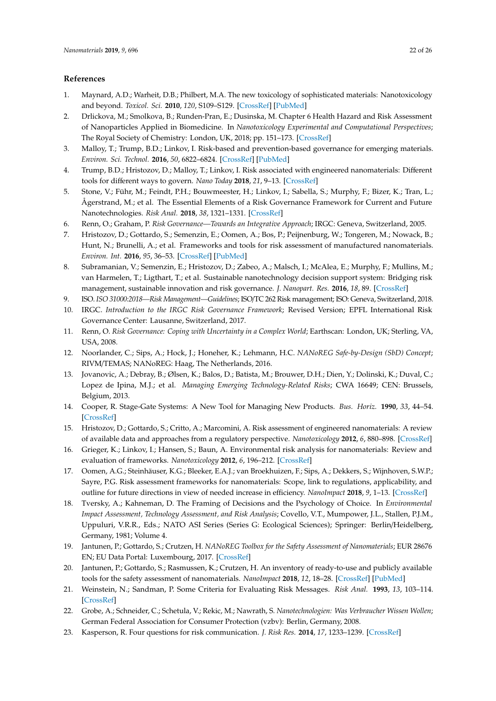# <span id="page-21-22"></span>**References**

- <span id="page-21-0"></span>1. Maynard, A.D.; Warheit, D.B.; Philbert, M.A. The new toxicology of sophisticated materials: Nanotoxicology and beyond. *Toxicol. Sci.* **2010**, *120*, S109–S129. [\[CrossRef\]](http://dx.doi.org/10.1093/toxsci/kfq372) [\[PubMed\]](http://www.ncbi.nlm.nih.gov/pubmed/21177774)
- <span id="page-21-1"></span>2. Drlickova, M.; Smolkova, B.; Runden-Pran, E.; Dusinska, M. Chapter 6 Health Hazard and Risk Assessment of Nanoparticles Applied in Biomedicine. In *Nanotoxicology Experimental and Computational Perspectives*; The Royal Society of Chemistry: London, UK, 2018; pp. 151–173. [\[CrossRef\]](http://dx.doi.org/10.1039/9781782623922-00151)
- <span id="page-21-2"></span>3. Malloy, T.; Trump, B.D.; Linkov, I. Risk-based and prevention-based governance for emerging materials. *Environ. Sci. Technol.* **2016**, *50*, 6822–6824. [\[CrossRef\]](http://dx.doi.org/10.1021/acs.est.6b02550) [\[PubMed\]](http://www.ncbi.nlm.nih.gov/pubmed/27305964)
- 4. Trump, B.D.; Hristozov, D.; Malloy, T.; Linkov, I. Risk associated with engineered nanomaterials: Different tools for different ways to govern. *Nano Today* **2018**, *21*, 9–13. [\[CrossRef\]](http://dx.doi.org/10.1016/j.nantod.2018.03.002)
- <span id="page-21-3"></span>5. Stone, V.; Führ, M.; Feindt, P.H.; Bouwmeester, H.; Linkov, I.; Sabella, S.; Murphy, F.; Bizer, K.; Tran, L.; Ågerstrand, M.; et al. The Essential Elements of a Risk Governance Framework for Current and Future Nanotechnologies. *Risk Anal.* **2018**, *38*, 1321–1331. [\[CrossRef\]](http://dx.doi.org/10.1111/risa.12954)
- <span id="page-21-23"></span><span id="page-21-4"></span>6. Renn, O.; Graham, P. *Risk Governance—Towards an Integrative Approach*; IRGC: Geneva, Switzerland, 2005.
- <span id="page-21-24"></span><span id="page-21-5"></span>7. Hristozov, D.; Gottardo, S.; Semenzin, E.; Oomen, A.; Bos, P.; Peijnenburg, W.; Tongeren, M.; Nowack, B.; Hunt, N.; Brunelli, A.; et al. Frameworks and tools for risk assessment of manufactured nanomaterials. *Environ. Int.* **2016**, *95*, 36–53. [\[CrossRef\]](http://dx.doi.org/10.1016/j.envint.2016.07.016) [\[PubMed\]](http://www.ncbi.nlm.nih.gov/pubmed/27523267)
- <span id="page-21-6"></span>8. Subramanian, V.; Semenzin, E.; Hristozov, D.; Zabeo, A.; Malsch, I.; McAlea, E.; Murphy, F.; Mullins, M.; van Harmelen, T.; Ligthart, T.; et al. Sustainable nanotechnology decision support system: Bridging risk management, sustainable innovation and risk governance. *J. Nanopart. Res.* **2016**, *18*, 89. [\[CrossRef\]](http://dx.doi.org/10.1007/s11051-016-3375-4)
- <span id="page-21-7"></span>9. ISO. *ISO 31000:2018—Risk Management—Guidelines*; ISO/TC 262 Risk management; ISO: Geneva, Switzerland, 2018.
- <span id="page-21-8"></span>10. IRGC. *Introduction to the IRGC Risk Governance Framework*; Revised Version; EPFL International Risk Governance Center: Lausanne, Switzerland, 2017.
- <span id="page-21-9"></span>11. Renn, O. *Risk Governance: Coping with Uncertainty in a Complex World*; Earthscan: London, UK; Sterling, VA, USA, 2008.
- <span id="page-21-10"></span>12. Noorlander, C.; Sips, A.; Hock, J.; Honeher, K.; Lehmann, H.C. *NANoREG Safe-by-Design (SbD) Concept*; RIVM/TEMAS; NANoREG: Haag, The Netherlands, 2016.
- <span id="page-21-25"></span><span id="page-21-11"></span>13. Jovanovic, A.; Debray, B.; Ølsen, K.; Balos, D.; Batista, M.; Brouwer, D.H.; Dien, Y.; Dolinski, K.; Duval, C.; Lopez de Ipina, M.J.; et al. *Managing Emerging Technology-Related Risks*; CWA 16649; CEN: Brussels, Belgium, 2013.
- <span id="page-21-12"></span>14. Cooper, R. Stage-Gate Systems: A New Tool for Managing New Products. *Bus. Horiz.* **1990**, *33*, 44–54. [\[CrossRef\]](http://dx.doi.org/10.1016/0007-6813(90)90040-I)
- <span id="page-21-13"></span>15. Hristozov, D.; Gottardo, S.; Critto, A.; Marcomini, A. Risk assessment of engineered nanomaterials: A review of available data and approaches from a regulatory perspective. *Nanotoxicology* **2012**, *6*, 880–898. [\[CrossRef\]](http://dx.doi.org/10.3109/17435390.2011.626534)
- <span id="page-21-21"></span>16. Grieger, K.; Linkov, I.; Hansen, S.; Baun, A. Environmental risk analysis for nanomaterials: Review and evaluation of frameworks. *Nanotoxicology* **2012**, *6*, 196–212. [\[CrossRef\]](http://dx.doi.org/10.3109/17435390.2011.569095)
- <span id="page-21-14"></span>17. Oomen, A.G.; Steinhäuser, K.G.; Bleeker, E.A.J.; van Broekhuizen, F.; Sips, A.; Dekkers, S.; Wijnhoven, S.W.P.; Sayre, P.G. Risk assessment frameworks for nanomaterials: Scope, link to regulations, applicability, and outline for future directions in view of needed increase in efficiency. *NanoImpact* **2018**, *9*, 1–13. [\[CrossRef\]](http://dx.doi.org/10.1016/j.impact.2017.09.001)
- <span id="page-21-15"></span>18. Tversky, A.; Kahneman, D. The Framing of Decisions and the Psychology of Choice. In *Environmental Impact Assessment, Technology Assessment, and Risk Analysis*; Covello, V.T., Mumpower, J.L., Stallen, P.J.M., Uppuluri, V.R.R., Eds.; NATO ASI Series (Series G: Ecological Sciences); Springer: Berlin/Heidelberg, Germany, 1981; Volume 4.
- <span id="page-21-16"></span>19. Jantunen, P.; Gottardo, S.; Crutzen, H. *NANoREG Toolbox for the Safety Assessment of Nanomaterials*; EUR 28676 EN; EU Data Portal: Luxembourg, 2017. [\[CrossRef\]](http://dx.doi.org/10.2760/332209)
- <span id="page-21-17"></span>20. Jantunen, P.; Gottardo, S.; Rasmussen, K.; Crutzen, H. An inventory of ready-to-use and publicly available tools for the safety assessment of nanomaterials. *NanoImpact* **2018**, *12*, 18–28. [\[CrossRef\]](http://dx.doi.org/10.1016/j.impact.2018.08.007) [\[PubMed\]](http://www.ncbi.nlm.nih.gov/pubmed/30505982)
- <span id="page-21-18"></span>21. Weinstein, N.; Sandman, P. Some Criteria for Evaluating Risk Messages. *Risk Anal.* **1993**, *13*, 103–114. [\[CrossRef\]](http://dx.doi.org/10.1111/j.1539-6924.1993.tb00733.x)
- <span id="page-21-20"></span>22. Grobe, A.; Schneider, C.; Schetula, V.; Rekic, M.; Nawrath, S. *Nanotechnologien: Was Verbraucher Wissen Wollen*; German Federal Association for Consumer Protection (vzbv): Berlin, Germany, 2008.
- <span id="page-21-19"></span>23. Kasperson, R. Four questions for risk communication. *J. Risk Res.* **2014**, *17*, 1233–1239. [\[CrossRef\]](http://dx.doi.org/10.1080/13669877.2014.900207)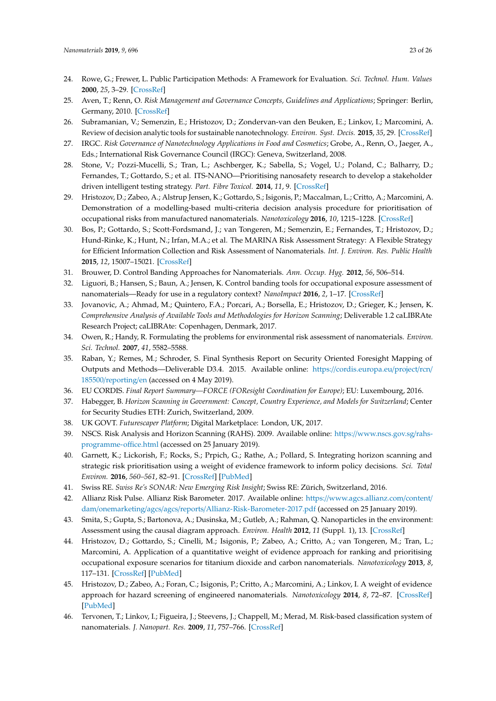- <span id="page-22-7"></span><span id="page-22-6"></span><span id="page-22-5"></span><span id="page-22-4"></span><span id="page-22-3"></span><span id="page-22-0"></span>24. Rowe, G.; Frewer, L. Public Participation Methods: A Framework for Evaluation. *Sci. Technol. Hum. Values* **2000**, *25*, 3–29. [\[CrossRef\]](http://dx.doi.org/10.1177/016224390002500101)
- 25. Aven, T.; Renn, O. *Risk Management and Governance Concepts, Guidelines and Applications*; Springer: Berlin, Germany, 2010. [\[CrossRef\]](http://dx.doi.org/10.1007/978-3-642-13926-0)
- <span id="page-22-1"></span>26. Subramanian, V.; Semenzin, E.; Hristozov, D.; Zondervan-van den Beuken, E.; Linkov, I.; Marcomini, A. Review of decision analytic tools for sustainable nanotechnology. *Environ. Syst. Decis.* **2015**, *35*, 29. [\[CrossRef\]](http://dx.doi.org/10.1007/s10669-015-9541-x)
- <span id="page-22-2"></span>27. IRGC. *Risk Governance of Nanotechnology Applications in Food and Cosmetics*; Grobe, A., Renn, O., Jaeger, A., Eds.; International Risk Governance Council (IRGC): Geneva, Switzerland, 2008.
- <span id="page-22-25"></span>28. Stone, V.; Pozzi-Mucelli, S.; Tran, L.; Aschberger, K.; Sabella, S.; Vogel, U.; Poland, C.; Balharry, D.; Fernandes, T.; Gottardo, S.; et al. ITS-NANO—Prioritising nanosafety research to develop a stakeholder driven intelligent testing strategy. *Part. Fibre Toxicol.* **2014**, *11*, 9. [\[CrossRef\]](http://dx.doi.org/10.1186/1743-8977-11-9)
- <span id="page-22-21"></span>29. Hristozov, D.; Zabeo, A.; Alstrup Jensen, K.; Gottardo, S.; Isigonis, P.; Maccalman, L.; Critto, A.; Marcomini, A. Demonstration of a modelling-based multi-criteria decision analysis procedure for prioritisation of occupational risks from manufactured nanomaterials. *Nanotoxicology* **2016**, *10*, 1215–1228. [\[CrossRef\]](http://dx.doi.org/10.3109/17435390.2016.1144827)
- 30. Bos, P.; Gottardo, S.; Scott-Fordsmand, J.; van Tongeren, M.; Semenzin, E.; Fernandes, T.; Hristozov, D.; Hund-Rinke, K.; Hunt, N.; Irfan, M.A.; et al. The MARINA Risk Assessment Strategy: A Flexible Strategy for Efficient Information Collection and Risk Assessment of Nanomaterials. *Int. J. Environ. Res. Public Health* **2015**, *12*, 15007–15021. [\[CrossRef\]](http://dx.doi.org/10.3390/ijerph121214961)
- <span id="page-22-9"></span><span id="page-22-8"></span>31. Brouwer, D. Control Banding Approaches for Nanomaterials. *Ann. Occup. Hyg.* **2012**, *56*, 506–514.
- 32. Liguori, B.; Hansen, S.; Baun, A.; Jensen, K. Control banding tools for occupational exposure assessment of nanomaterials—Ready for use in a regulatory context? *NanoImpact* **2016**, *2*, 1–17. [\[CrossRef\]](http://dx.doi.org/10.1016/j.impact.2016.04.002)
- <span id="page-22-10"></span>33. Jovanovic, A.; Ahmad, M.; Quintero, F.A.; Porcari, A.; Borsella, E.; Hristozov, D.; Grieger, K.; Jensen, K. *Comprehensive Analysis of Available Tools and Methodologies for Horizon Scanning*; Deliverable 1.2 caLIBRAte Research Project; caLIBRAte: Copenhagen, Denmark, 2017.
- <span id="page-22-11"></span>34. Owen, R.; Handy, R. Formulating the problems for environmental risk assessment of nanomaterials. *Environ. Sci. Technol.* **2007**, *41*, 5582–5588.
- <span id="page-22-12"></span>35. Raban, Y.; Remes, M.; Schroder, S. Final Synthesis Report on Security Oriented Foresight Mapping of Outputs and Methods—Deliverable D3.4. 2015. Available online: https://[cordis.europa.eu](https://cordis.europa.eu/project/rcn/185500/reporting/en)/project/rcn/ 185500/[reporting](https://cordis.europa.eu/project/rcn/185500/reporting/en)/en (accessed on 4 May 2019).
- <span id="page-22-13"></span>36. EU CORDIS. *Final Report Summary—FORCE (FOResight Coordination for Europe)*; EU: Luxembourg, 2016.
- <span id="page-22-14"></span>37. Habegger, B. *Horizon Scanning in Government: Concept, Country Experience, and Models for Switzerland*; Center for Security Studies ETH: Zurich, Switzerland, 2009.
- <span id="page-22-15"></span>38. UK GOVT. *Futurescaper Platform*; Digital Marketplace: London, UK, 2017.
- <span id="page-22-16"></span>39. NSCS. Risk Analysis and Horizon Scanning (RAHS). 2009. Available online: https://[www.nscs.gov.sg](https://www.nscs.gov.sg/rahs-programme-office.html)/rahs[programme-o](https://www.nscs.gov.sg/rahs-programme-office.html)ffice.html (accessed on 25 January 2019).
- <span id="page-22-17"></span>40. Garnett, K.; Lickorish, F.; Rocks, S.; Prpich, G.; Rathe, A.; Pollard, S. Integrating horizon scanning and strategic risk prioritisation using a weight of evidence framework to inform policy decisions. *Sci. Total Environ.* **2016**, *560–561*, 82–91. [\[CrossRef\]](http://dx.doi.org/10.1016/j.scitotenv.2016.04.040) [\[PubMed\]](http://www.ncbi.nlm.nih.gov/pubmed/27093126)
- <span id="page-22-18"></span>41. Swiss RE. *Swiss Re's SONAR: New Emerging Risk Insight*; Swiss RE: Zürich, Switzerland, 2016.
- <span id="page-22-19"></span>42. Allianz Risk Pulse. Allianz Risk Barometer. 2017. Available online: https://[www.agcs.allianz.com](https://www.agcs.allianz.com/content/dam/onemarketing/agcs/agcs/reports/Allianz-Risk-Barometer-2017.pdf)/content/ dam/onemarketing/agcs/agcs/reports/[Allianz-Risk-Barometer-2017.pdf](https://www.agcs.allianz.com/content/dam/onemarketing/agcs/agcs/reports/Allianz-Risk-Barometer-2017.pdf) (accessed on 25 January 2019).
- <span id="page-22-20"></span>43. Smita, S.; Gupta, S.; Bartonova, A.; Dusinska, M.; Gutleb, A.; Rahman, Q. Nanoparticles in the environment: Assessment using the causal diagram approach. *Environ. Health* **2012**, *11* (Suppl. 1), 13. [\[CrossRef\]](http://dx.doi.org/10.1186/1476-069X-11-S1-S13)
- <span id="page-22-22"></span>44. Hristozov, D.; Gottardo, S.; Cinelli, M.; Isigonis, P.; Zabeo, A.; Critto, A.; van Tongeren, M.; Tran, L.; Marcomini, A. Application of a quantitative weight of evidence approach for ranking and prioritising occupational exposure scenarios for titanium dioxide and carbon nanomaterials. *Nanotoxicology* **2013**, *8*, 117–131. [\[CrossRef\]](http://dx.doi.org/10.3109/17435390.2012.760013) [\[PubMed\]](http://www.ncbi.nlm.nih.gov/pubmed/23244341)
- <span id="page-22-23"></span>45. Hristozov, D.; Zabeo, A.; Foran, C.; Isigonis, P.; Critto, A.; Marcomini, A.; Linkov, I. A weight of evidence approach for hazard screening of engineered nanomaterials. *Nanotoxicology* **2014**, *8*, 72–87. [\[CrossRef\]](http://dx.doi.org/10.3109/17435390.2012.750695) [\[PubMed\]](http://www.ncbi.nlm.nih.gov/pubmed/23153309)
- <span id="page-22-24"></span>46. Tervonen, T.; Linkov, I.; Figueira, J.; Steevens, J.; Chappell, M.; Merad, M. Risk-based classification system of nanomaterials. *J. Nanopart. Res.* **2009**, *11*, 757–766. [\[CrossRef\]](http://dx.doi.org/10.1007/s11051-008-9546-1)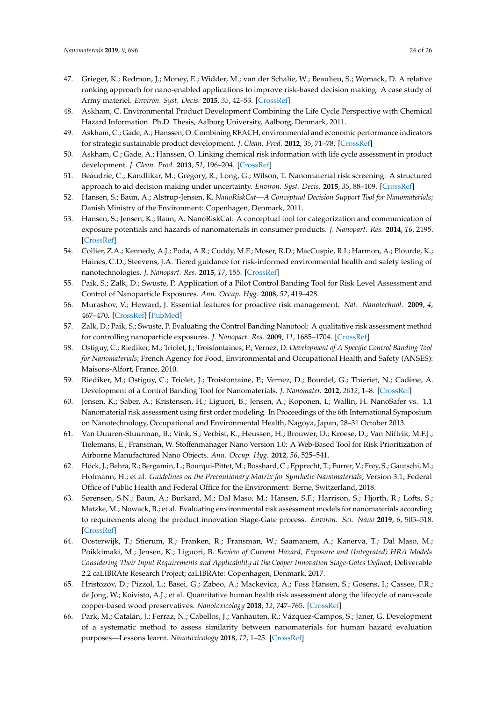- <span id="page-23-0"></span>47. Grieger, K.; Redmon, J.; Money, E.; Widder, M.; van der Schalie, W.; Beaulieu, S.; Womack, D. A relative ranking approach for nano-enabled applications to improve risk-based decision making: A case study of Army materiel. *Environ. Syst. Decis.* **2015**, *35*, 42–53. [\[CrossRef\]](http://dx.doi.org/10.1007/s10669-014-9531-4)
- <span id="page-23-1"></span>48. Askham, C. Environmental Product Development Combining the Life Cycle Perspective with Chemical Hazard Information. Ph.D. Thesis, Aalborg University, Aalborg, Denmark, 2011.
- 49. Askham, C.; Gade, A.; Hanssen, O. Combining REACH, environmental and economic performance indicators for strategic sustainable product development. *J. Clean. Prod.* **2012**, *35*, 71–78. [\[CrossRef\]](http://dx.doi.org/10.1016/j.jclepro.2012.05.015)
- <span id="page-23-2"></span>50. Askham, C.; Gade, A.; Hanssen, O. Linking chemical risk information with life cycle assessment in product development. *J. Clean. Prod.* **2013**, *51*, 196–204. [\[CrossRef\]](http://dx.doi.org/10.1016/j.jclepro.2013.01.006)
- <span id="page-23-3"></span>51. Beaudrie, C.; Kandlikar, M.; Gregory, R.; Long, G.; Wilson, T. Nanomaterial risk screening: A structured approach to aid decision making under uncertainty. *Environ. Syst. Decis.* **2015**, *35*, 88–109. [\[CrossRef\]](http://dx.doi.org/10.1007/s10669-014-9529-y)
- <span id="page-23-4"></span>52. Hansen, S.; Baun, A.; Alstrup-Jensen, K. *NanoRiskCat—A Conceptual Decision Support Tool for Nanomaterials*; Danish Ministry of the Environment: Copenhagen, Denmark, 2011.
- <span id="page-23-5"></span>53. Hansen, S.; Jensen, K.; Baun, A. NanoRiskCat: A conceptual tool for categorization and communication of exposure potentials and hazards of nanomaterials in consumer products. *J. Nanopart. Res.* **2014**, *16*, 2195. [\[CrossRef\]](http://dx.doi.org/10.1007/s11051-013-2195-z)
- <span id="page-23-6"></span>54. Collier, Z.A.; Kennedy, A.J.; Poda, A.R.; Cuddy, M.F.; Moser, R.D.; MacCuspie, R.I.; Harmon, A.; Plourde, K.; Haines, C.D.; Steevens, J.A. Tiered guidance for risk-informed environmental health and safety testing of nanotechnologies. *J. Nanopart. Res.* **2015**, *17*, 155. [\[CrossRef\]](http://dx.doi.org/10.1007/s11051-015-2943-3)
- <span id="page-23-7"></span>55. Paik, S.; Zalk, D.; Swuste, P. Application of a Pilot Control Banding Tool for Risk Level Assessment and Control of Nanoparticle Exposures. *Ann. Occup. Hyg.* **2008**, *52*, 419–428.
- 56. Murashov, V.; Howard, J. Essential features for proactive risk management. *Nat. Nanotechnol.* **2009**, *4*, 467–470. [\[CrossRef\]](http://dx.doi.org/10.1038/nnano.2009.205) [\[PubMed\]](http://www.ncbi.nlm.nih.gov/pubmed/19661998)
- <span id="page-23-8"></span>57. Zalk, D.; Paik, S.; Swuste, P. Evaluating the Control Banding Nanotool: A qualitative risk assessment method for controlling nanoparticle exposures. *J. Nanopart. Res.* **2009**, *11*, 1685–1704. [\[CrossRef\]](http://dx.doi.org/10.1007/s11051-009-9678-y)
- <span id="page-23-9"></span>58. Ostiguy, C.; Riediker, M.; Triolet, J.; Troisfontaines, P.; Vernez, D. *Development of A Specific Control Banding Tool for Nanomaterials*; French Agency for Food, Environmental and Occupational Health and Safety (ANSES): Maisons-Alfort, France, 2010.
- <span id="page-23-10"></span>59. Riediker, M.; Ostiguy, C.; Triolet, J.; Troisfontaine, P.; Vernez, D.; Bourdel, G.; Thieriet, N.; Cadène, A. Development of a Control Banding Tool for Nanomaterials. *J. Nanomater.* **2012**, *2012*, 1–8. [\[CrossRef\]](http://dx.doi.org/10.1155/2012/879671)
- <span id="page-23-11"></span>60. Jensen, K.; Saber, A.; Kristensen, H.; Liguori, B.; Jensen, A.; Koponen, I.; Wallin, H. NanoSafer vs. 1.1 Nanomaterial risk assessment using first order modeling. In Proceedings of the 6th International Symposium on Nanotechnology, Occupational and Environmental Health, Nagoya, Japan, 28–31 October 2013.
- <span id="page-23-12"></span>61. Van Duuren-Stuurman, B.; Vink, S.; Verbist, K.; Heussen, H.; Brouwer, D.; Kroese, D.; Van Niftrik, M.F.J.; Tielemans, E.; Fransman, W. Stoffenmanager Nano Version 1.0: A Web-Based Tool for Risk Prioritization of Airborne Manufactured Nano Objects. *Ann. Occup. Hyg.* **2012**, *56*, 525–541.
- <span id="page-23-13"></span>62. Höck, J.; Behra, R.; Bergamin, L.; Bourqui-Pittet, M.; Bosshard, C.; Epprecht, T.; Furrer, V.; Frey, S.; Gautschi, M.; Hofmann, H.; et al. *Guidelines on the Precautionary Matrix for Synthetic Nanomaterials*; Version 3.1; Federal Office of Public Health and Federal Office for the Environment: Berne, Switzerland, 2018.
- <span id="page-23-14"></span>63. Sørensen, S.N.; Baun, A.; Burkard, M.; Dal Maso, M.; Hansen, S.F.; Harrison, S.; Hjorth, R.; Lofts, S.; Matzke, M.; Nowack, B.; et al. Evaluating environmental risk assessment models for nanomaterials according to requirements along the product innovation Stage-Gate process. *Environ. Sci. Nano* **2019**, *6*, 505–518. [\[CrossRef\]](http://dx.doi.org/10.1039/c8en00933c)
- <span id="page-23-15"></span>64. Oosterwijk, T.; Stierum, R.; Franken, R.; Fransman, W.; Saamanem, A.; Kanerva, T.; Dal Maso, M.; Poikkimaki, M.; Jensen, K.; Liguori, B. *Review of Current Hazard, Exposure and (Integrated) HRA Models Considering Their Input Requirements and Applicability at the Cooper Innovation Stage-Gates Defined*; Deliverable 2.2 caLIBRAte Research Project; caLIBRAte: Copenhagen, Denmark, 2017.
- <span id="page-23-16"></span>65. Hristozov, D.; Pizzol, L.; Basei, G.; Zabeo, A.; Mackevica, A.; Foss Hansen, S.; Gosens, I.; Cassee, F.R.; de Jong, W.; Koivisto, A.J.; et al. Quantitative human health risk assessment along the lifecycle of nano-scale copper-based wood preservatives. *Nanotoxicology* **2018**, *12*, 747–765. [\[CrossRef\]](http://dx.doi.org/10.1080/17435390.2018.1472314)
- <span id="page-23-17"></span>66. Park, M.; Catalán, J.; Ferraz, N.; Cabellos, J.; Vanhauten, R.; Vázquez-Campos, S.; Janer, G. Development of a systematic method to assess similarity between nanomaterials for human hazard evaluation purposes—Lessons learnt. *Nanotoxicology* **2018**, *12*, 1–25. [\[CrossRef\]](http://dx.doi.org/10.1080/17435390.2018.1465142)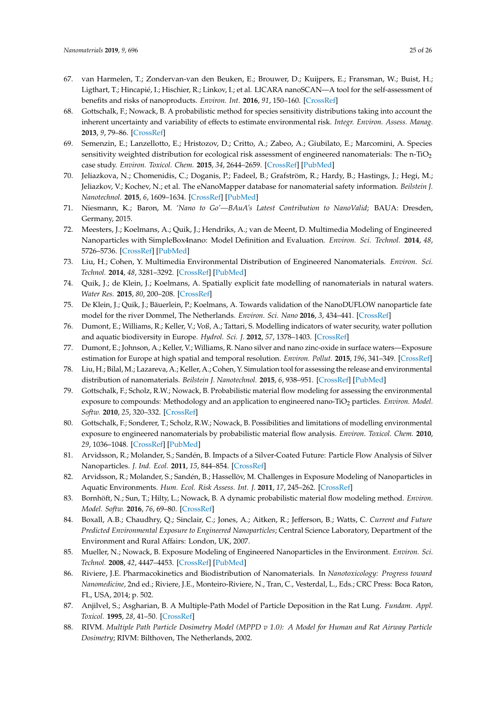- <span id="page-24-0"></span>67. van Harmelen, T.; Zondervan-van den Beuken, E.; Brouwer, D.; Kuijpers, E.; Fransman, W.; Buist, H.; Ligthart, T.; Hincapié, I.; Hischier, R.; Linkov, I.; et al. LICARA nanoSCAN—A tool for the self-assessment of benefits and risks of nanoproducts. *Environ. Int.* **2016**, *91*, 150–160. [\[CrossRef\]](http://dx.doi.org/10.1016/j.envint.2016.02.021)
- <span id="page-24-1"></span>68. Gottschalk, F.; Nowack, B. A probabilistic method for species sensitivity distributions taking into account the inherent uncertainty and variability of effects to estimate environmental risk. *Integr. Environ. Assess. Manag.* **2013**, *9*, 79–86. [\[CrossRef\]](http://dx.doi.org/10.1002/ieam.1334)
- <span id="page-24-2"></span>69. Semenzin, E.; Lanzellotto, E.; Hristozov, D.; Critto, A.; Zabeo, A.; Giubilato, E.; Marcomini, A. Species sensitivity weighted distribution for ecological risk assessment of engineered nanomaterials: The n-TiO<sub>2</sub> case study. *Environ. Toxicol. Chem.* **2015**, *34*, 2644–2659. [\[CrossRef\]](http://dx.doi.org/10.1002/etc.3103) [\[PubMed\]](http://www.ncbi.nlm.nih.gov/pubmed/26058704)
- <span id="page-24-3"></span>70. Jeliazkova, N.; Chomenidis, C.; Doganis, P.; Fadeel, B.; Grafström, R.; Hardy, B.; Hastings, J.; Hegi, M.; Jeliazkov, V.; Kochev, N.; et al. The eNanoMapper database for nanomaterial safety information. *Beilstein J. Nanotechnol.* **2015**, *6*, 1609–1634. [\[CrossRef\]](http://dx.doi.org/10.3762/bjnano.6.165) [\[PubMed\]](http://www.ncbi.nlm.nih.gov/pubmed/26425413)
- <span id="page-24-4"></span>71. Niesmann, K.; Baron, M. *'Nano to Go'—BAuA's Latest Contribution to NanoValid*; BAUA: Dresden, Germany, 2015.
- <span id="page-24-5"></span>72. Meesters, J.; Koelmans, A.; Quik, J.; Hendriks, A.; van de Meent, D. Multimedia Modeling of Engineered Nanoparticles with SimpleBox4nano: Model Definition and Evaluation. *Environ. Sci. Technol.* **2014**, *48*, 5726–5736. [\[CrossRef\]](http://dx.doi.org/10.1021/es500548h) [\[PubMed\]](http://www.ncbi.nlm.nih.gov/pubmed/24766433)
- <span id="page-24-6"></span>73. Liu, H.; Cohen, Y. Multimedia Environmental Distribution of Engineered Nanomaterials. *Environ. Sci. Technol.* **2014**, *48*, 3281–3292. [\[CrossRef\]](http://dx.doi.org/10.1021/es405132z) [\[PubMed\]](http://www.ncbi.nlm.nih.gov/pubmed/24548277)
- <span id="page-24-7"></span>74. Quik, J.; de Klein, J.; Koelmans, A. Spatially explicit fate modelling of nanomaterials in natural waters. *Water Res.* **2015**, *80*, 200–208. [\[CrossRef\]](http://dx.doi.org/10.1016/j.watres.2015.05.025)
- <span id="page-24-8"></span>75. De Klein, J.; Quik, J.; Bäuerlein, P.; Koelmans, A. Towards validation of the NanoDUFLOW nanoparticle fate model for the river Dommel, The Netherlands. *Environ. Sci. Nano* **2016**, *3*, 434–441. [\[CrossRef\]](http://dx.doi.org/10.1039/C5EN00270B)
- <span id="page-24-9"></span>76. Dumont, E.; Williams, R.; Keller, V.; Voß, A.; Tattari, S. Modelling indicators of water security, water pollution and aquatic biodiversity in Europe. *Hydrol. Sci. J.* **2012**, *57*, 1378–1403. [\[CrossRef\]](http://dx.doi.org/10.1080/02626667.2012.715747)
- <span id="page-24-10"></span>77. Dumont, E.; Johnson, A.; Keller, V.; Williams, R. Nano silver and nano zinc-oxide in surface waters—Exposure estimation for Europe at high spatial and temporal resolution. *Environ. Pollut.* **2015**, *196*, 341–349. [\[CrossRef\]](http://dx.doi.org/10.1016/j.envpol.2014.10.022)
- <span id="page-24-11"></span>78. Liu, H.; Bilal, M.; Lazareva, A.; Keller, A.; Cohen, Y. Simulation tool for assessing the release and environmental distribution of nanomaterials. *Beilstein J. Nanotechnol.* **2015**, *6*, 938–951. [\[CrossRef\]](http://dx.doi.org/10.3762/bjnano.6.97) [\[PubMed\]](http://www.ncbi.nlm.nih.gov/pubmed/25977865)
- <span id="page-24-12"></span>79. Gottschalk, F.; Scholz, R.W.; Nowack, B. Probabilistic material flow modeling for assessing the environmental exposure to compounds: Methodology and an application to engineered nano-TiO<sup>2</sup> particles. *Environ. Model. Softw.* **2010**, *25*, 320–332. [\[CrossRef\]](http://dx.doi.org/10.1016/j.envsoft.2009.08.011)
- <span id="page-24-13"></span>80. Gottschalk, F.; Sonderer, T.; Scholz, R.W.; Nowack, B. Possibilities and limitations of modelling environmental exposure to engineered nanomaterials by probabilistic material flow analysis. *Environ. Toxicol. Chem.* **2010**, *29*, 1036–1048. [\[CrossRef\]](http://dx.doi.org/10.1002/etc.135) [\[PubMed\]](http://www.ncbi.nlm.nih.gov/pubmed/20821538)
- <span id="page-24-14"></span>81. Arvidsson, R.; Molander, S.; Sandén, B. Impacts of a Silver-Coated Future: Particle Flow Analysis of Silver Nanoparticles. *J. Ind. Ecol.* **2011**, *15*, 844–854. [\[CrossRef\]](http://dx.doi.org/10.1111/j.1530-9290.2011.00400.x)
- <span id="page-24-15"></span>82. Arvidsson, R.; Molander, S.; Sandén, B.; Hassellöv, M. Challenges in Exposure Modeling of Nanoparticles in Aquatic Environments. *Hum. Ecol. Risk Assess. Int. J.* **2011**, *17*, 245–262. [\[CrossRef\]](http://dx.doi.org/10.1080/10807039.2011.538639)
- <span id="page-24-16"></span>83. Bornhöft, N.; Sun, T.; Hilty, L.; Nowack, B. A dynamic probabilistic material flow modeling method. *Environ. Model. Softw.* **2016**, *76*, 69–80. [\[CrossRef\]](http://dx.doi.org/10.1016/j.envsoft.2015.11.012)
- <span id="page-24-17"></span>84. Boxall, A.B.; Chaudhry, Q.; Sinclair, C.; Jones, A.; Aitken, R.; Jefferson, B.; Watts, C. *Current and Future Predicted Environmental Exposure to Engineered Nanoparticles*; Central Science Laboratory, Department of the Environment and Rural Affairs: London, UK, 2007.
- <span id="page-24-18"></span>85. Mueller, N.; Nowack, B. Exposure Modeling of Engineered Nanoparticles in the Environment. *Environ. Sci. Technol.* **2008**, *42*, 4447–4453. [\[CrossRef\]](http://dx.doi.org/10.1021/es7029637) [\[PubMed\]](http://www.ncbi.nlm.nih.gov/pubmed/18605569)
- <span id="page-24-19"></span>86. Riviere, J.E. Pharmacokinetics and Biodistribution of Nanomaterials. In *Nanotoxicology: Progress toward Nanomedicine*, 2nd ed.; Riviere, J.E., Monteiro-Riviere, N., Tran, C., Vesterdal, L., Eds.; CRC Press: Boca Raton, FL, USA, 2014; p. 502.
- <span id="page-24-20"></span>87. Anjilvel, S.; Asgharian, B. A Multiple-Path Model of Particle Deposition in the Rat Lung. *Fundam. Appl. Toxicol.* **1995**, *28*, 41–50. [\[CrossRef\]](http://dx.doi.org/10.1006/faat.1995.1144)
- <span id="page-24-21"></span>88. RIVM. *Multiple Path Particle Dosimetry Model (MPPD v 1.0): A Model for Human and Rat Airway Particle Dosimetry*; RIVM: Bilthoven, The Netherlands, 2002.